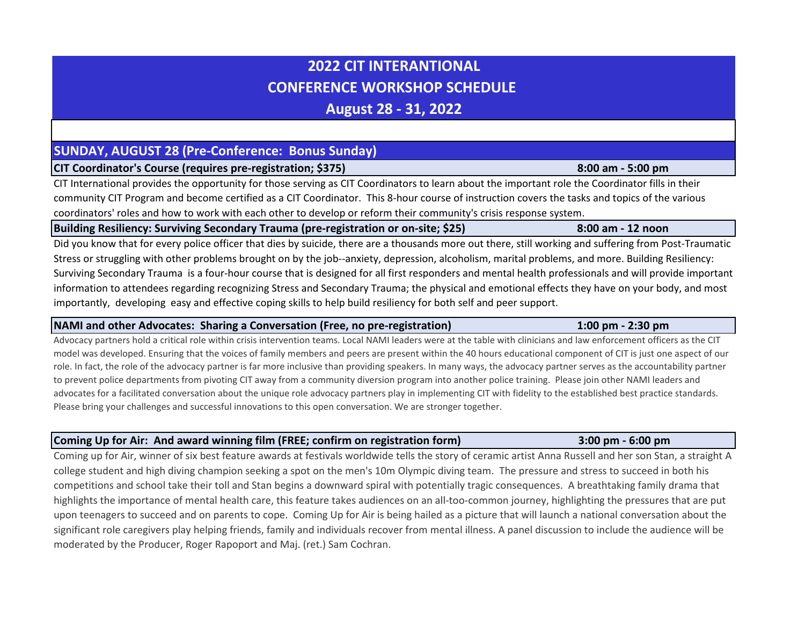# **2022 CIT INTERANTIONAL CONFERENCE WORKSHOP SCHEDULE**

**August 28 - 31, 2022**

# **SUNDAY, AUGUST 28 (Pre-Conference: Bonus Sunday)**

**CIT Coordinator's Course (requires pre-registration; \$375) 8:00 am - 5:00 pm**

CIT International provides the opportunity for those serving as CIT Coordinators to learn about the important role the Coordinator fills in their community CIT Program and become certified as a CIT Coordinator. This 8-hour course of instruction covers the tasks and topics of the various coordinators' roles and how to work with each other to develop or reform their community's crisis response system.

# **Building Resiliency: Surviving Secondary Trauma (pre-registration or on-site; \$25) 8:00 am - 12 noon**

Did you know that for every police officer that dies by suicide, there are a thousands more out there, still working and suffering from Post-Traumatic Stress or struggling with other problems brought on by the job--anxiety, depression, alcoholism, marital problems, and more. Building Resiliency: Surviving Secondary Trauma is a four-hour course that is designed for all first responders and mental health professionals and will provide important information to attendees regarding recognizing Stress and Secondary Trauma; the physical and emotional effects they have on your body, and most importantly, developing easy and effective coping skills to help build resiliency for both self and peer support.

# **NAMI and other Advocates: Sharing a Conversation (Free, no pre-registration) 1:00 pm - 2:30 pm**

Advocacy partners hold a critical role within crisis intervention teams. Local NAMI leaders were at the table with clinicians and law enforcement officers as the CIT model was developed. Ensuring that the voices of family members and peers are present within the 40 hours educational component of CIT is just one aspect of our role. In fact, the role of the advocacy partner is far more inclusive than providing speakers. In many ways, the advocacy partner serves as the accountability partner to prevent police departments from pivoting CIT away from a community diversion program into another police training. Please join other NAMI leaders and advocates for a facilitated conversation about the unique role advocacy partners play in implementing CIT with fidelity to the established best practice standards. Please bring your challenges and successful innovations to this open conversation. We are stronger together.

# **Coming Up for Air: And award winning film (FREE; confirm on registration form) 3:00 pm - 6:00 pm**

Coming up for Air, winner of six best feature awards at festivals worldwide tells the story of ceramic artist Anna Russell and her son Stan, a straight A college student and high diving champion seeking a spot on the men's 10m Olympic diving team. The pressure and stress to succeed in both his competitions and school take their toll and Stan begins a downward spiral with potentially tragic consequences. A breathtaking family drama that highlights the importance of mental health care, this feature takes audiences on an all-too-common journey, highlighting the pressures that are put upon teenagers to succeed and on parents to cope. Coming Up for Air is being hailed as a picture that will launch a national conversation about the significant role caregivers play helping friends, family and individuals recover from mental illness. A panel discussion to include the audience will be moderated by the Producer, Roger Rapoport and Maj. (ret.) Sam Cochran.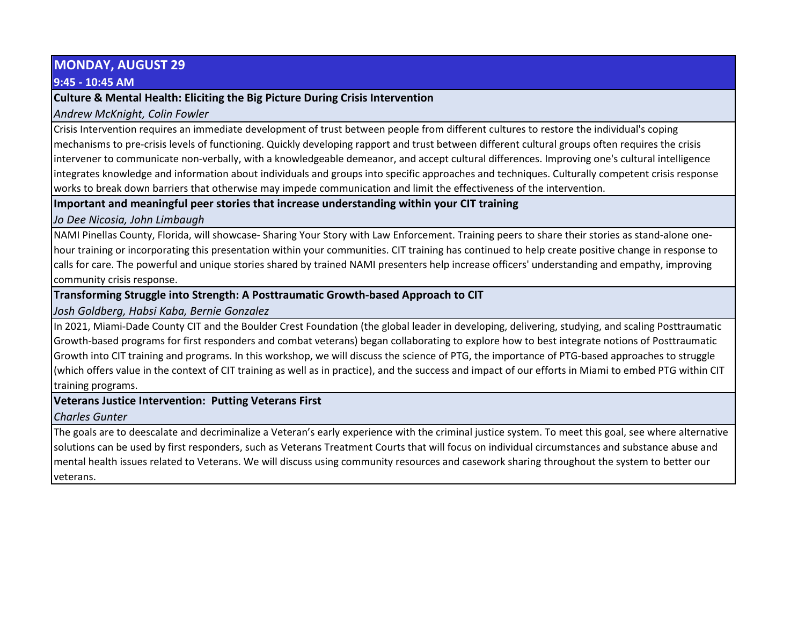# **MONDAY, AUGUST 29**

#### **9:45 - 10:45 AM**

#### **Culture & Mental Health: Eliciting the Big Picture During Crisis Intervention**

*Andrew McKnight, Colin Fowler*

Crisis Intervention requires an immediate development of trust between people from different cultures to restore the individual's coping mechanisms to pre-crisis levels of functioning. Quickly developing rapport and trust between different cultural groups often requires the crisis intervener to communicate non-verbally, with a knowledgeable demeanor, and accept cultural differences. Improving one's cultural intelligence integrates knowledge and information about individuals and groups into specific approaches and techniques. Culturally competent crisis response works to break down barriers that otherwise may impede communication and limit the effectiveness of the intervention.

# **Important and meaningful peer stories that increase understanding within your CIT training**

*Jo Dee Nicosia, John Limbaugh*

NAMI Pinellas County, Florida, will showcase- Sharing Your Story with Law Enforcement. Training peers to share their stories as stand-alone onehour training or incorporating this presentation within your communities. CIT training has continued to help create positive change in response to calls for care. The powerful and unique stories shared by trained NAMI presenters help increase officers' understanding and empathy, improving community crisis response.

# **Transforming Struggle into Strength: A Posttraumatic Growth-based Approach to CIT**

*Josh Goldberg, Habsi Kaba, Bernie Gonzalez*

In 2021, Miami-Dade County CIT and the Boulder Crest Foundation (the global leader in developing, delivering, studying, and scaling Posttraumatic Growth-based programs for first responders and combat veterans) began collaborating to explore how to best integrate notions of Posttraumatic Growth into CIT training and programs. In this workshop, we will discuss the science of PTG, the importance of PTG-based approaches to struggle (which offers value in the context of CIT training as well as in practice), and the success and impact of our efforts in Miami to embed PTG within CIT training programs.

# **Veterans Justice Intervention: Putting Veterans First**

*Charles Gunter*

The goals are to deescalate and decriminalize a Veteran's early experience with the criminal justice system. To meet this goal, see where alternative solutions can be used by first responders, such as Veterans Treatment Courts that will focus on individual circumstances and substance abuse and mental health issues related to Veterans. We will discuss using community resources and casework sharing throughout the system to better our veterans.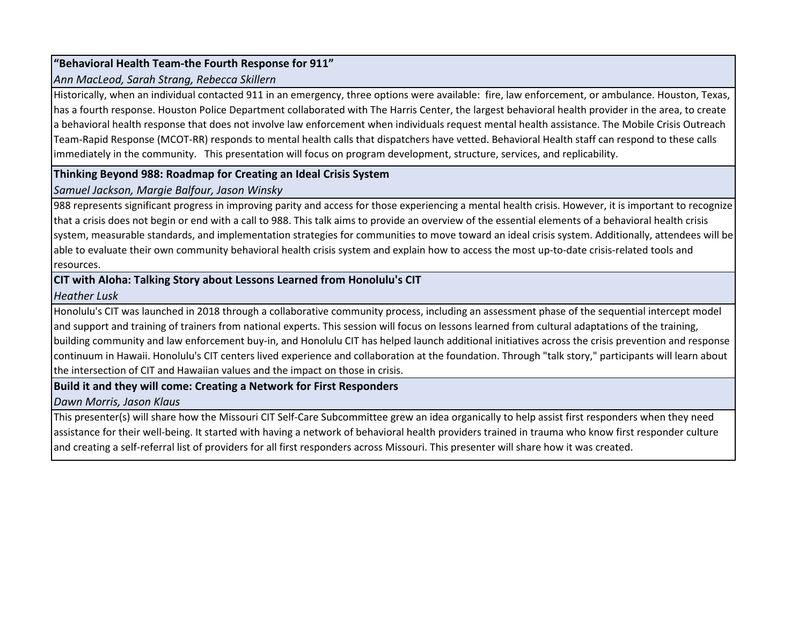# **"Behavioral Health Team-the Fourth Response for 911"**

#### *Ann MacLeod, Sarah Strang, Rebecca Skillern*

Historically, when an individual contacted 911 in an emergency, three options were available: fire, law enforcement, or ambulance. Houston, Texas, has a fourth response. Houston Police Department collaborated with The Harris Center, the largest behavioral health provider in the area, to create a behavioral health response that does not involve law enforcement when individuals request mental health assistance. The Mobile Crisis Outreach Team-Rapid Response (MCOT-RR) responds to mental health calls that dispatchers have vetted. Behavioral Health staff can respond to these calls immediately in the community. This presentation will focus on program development, structure, services, and replicability.

#### **Thinking Beyond 988: Roadmap for Creating an Ideal Crisis System**

#### *Samuel Jackson, Margie Balfour, Jason Winsky*

988 represents significant progress in improving parity and access for those experiencing a mental health crisis. However, it is important to recognize that a crisis does not begin or end with a call to 988. This talk aims to provide an overview of the essential elements of a behavioral health crisis system, measurable standards, and implementation strategies for communities to move toward an ideal crisis system. Additionally, attendees will be able to evaluate their own community behavioral health crisis system and explain how to access the most up-to-date crisis-related tools and resources.

#### **CIT with Aloha: Talking Story about Lessons Learned from Honolulu's CIT**

#### *Heather Lusk*

Honolulu's CIT was launched in 2018 through a collaborative community process, including an assessment phase of the sequential intercept model and support and training of trainers from national experts. This session will focus on lessons learned from cultural adaptations of the training, building community and law enforcement buy-in, and Honolulu CIT has helped launch additional initiatives across the crisis prevention and response continuum in Hawaii. Honolulu's CIT centers lived experience and collaboration at the foundation. Through "talk story," participants will learn about the intersection of CIT and Hawaiian values and the impact on those in crisis.

# **Build it and they will come: Creating a Network for First Responders**

# *Dawn Morris, Jason Klaus*

This presenter(s) will share how the Missouri CIT Self-Care Subcommittee grew an idea organically to help assist first responders when they need assistance for their well-being. It started with having a network of behavioral health providers trained in trauma who know first responder culture and creating a self-referral list of providers for all first responders across Missouri. This presenter will share how it was created.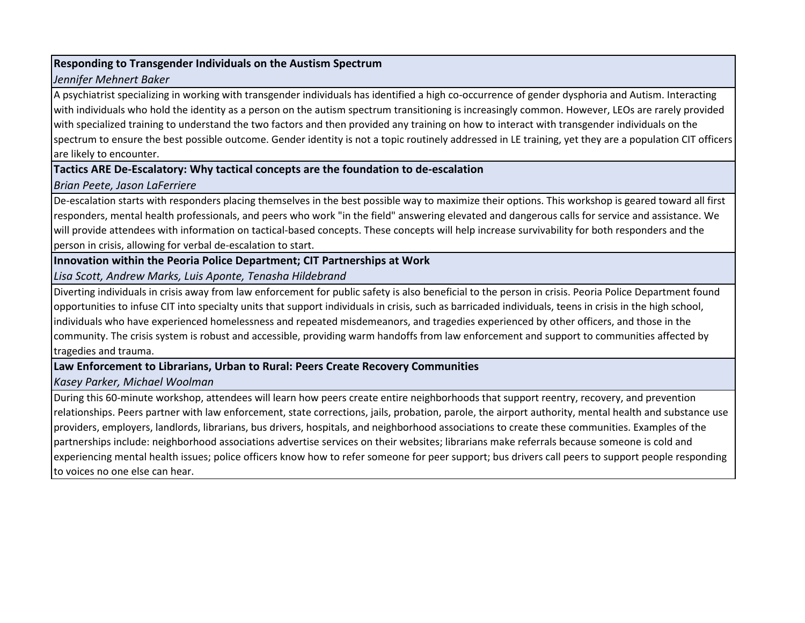#### **Responding to Transgender Individuals on the Austism Spectrum**

#### *Jennifer Mehnert Baker*

A psychiatrist specializing in working with transgender individuals has identified a high co-occurrence of gender dysphoria and Autism. Interacting with individuals who hold the identity as a person on the autism spectrum transitioning is increasingly common. However, LEOs are rarely provided with specialized training to understand the two factors and then provided any training on how to interact with transgender individuals on the spectrum to ensure the best possible outcome. Gender identity is not a topic routinely addressed in LE training, yet they are a population CIT officers are likely to encounter.

# **Tactics ARE De-Escalatory: Why tactical concepts are the foundation to de-escalation**

# *Brian Peete, Jason LaFerriere*

De-escalation starts with responders placing themselves in the best possible way to maximize their options. This workshop is geared toward all first responders, mental health professionals, and peers who work "in the field" answering elevated and dangerous calls for service and assistance. We will provide attendees with information on tactical-based concepts. These concepts will help increase survivability for both responders and the person in crisis, allowing for verbal de-escalation to start.

# **Innovation within the Peoria Police Department; CIT Partnerships at Work**

*Lisa Scott, Andrew Marks, Luis Aponte, Tenasha Hildebrand*

Diverting individuals in crisis away from law enforcement for public safety is also beneficial to the person in crisis. Peoria Police Department found opportunities to infuse CIT into specialty units that support individuals in crisis, such as barricaded individuals, teens in crisis in the high school, individuals who have experienced homelessness and repeated misdemeanors, and tragedies experienced by other officers, and those in the community. The crisis system is robust and accessible, providing warm handoffs from law enforcement and support to communities affected by tragedies and trauma.

# **Law Enforcement to Librarians, Urban to Rural: Peers Create Recovery Communities**

# *Kasey Parker, Michael Woolman*

During this 60-minute workshop, attendees will learn how peers create entire neighborhoods that support reentry, recovery, and prevention relationships. Peers partner with law enforcement, state corrections, jails, probation, parole, the airport authority, mental health and substance use providers, employers, landlords, librarians, bus drivers, hospitals, and neighborhood associations to create these communities. Examples of the partnerships include: neighborhood associations advertise services on their websites; librarians make referrals because someone is cold and experiencing mental health issues; police officers know how to refer someone for peer support; bus drivers call peers to support people responding to voices no one else can hear.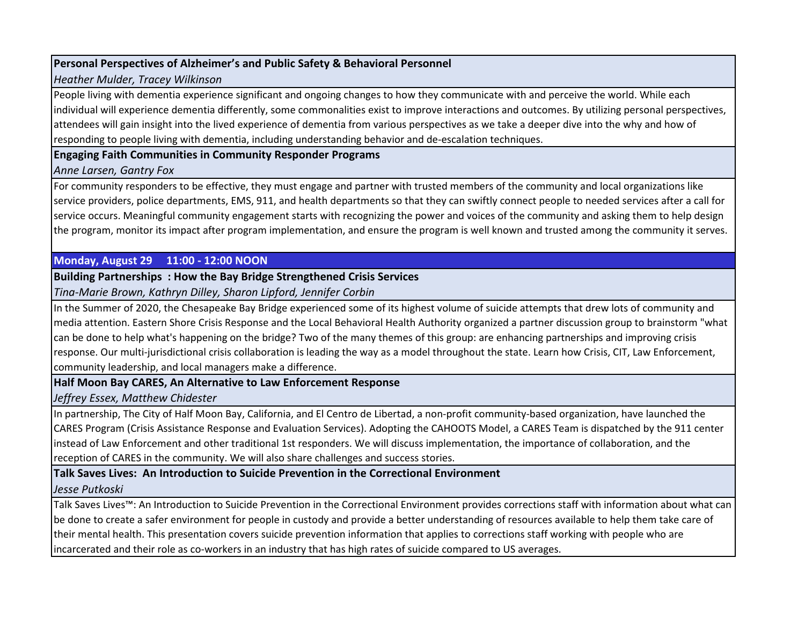### **Personal Perspectives of Alzheimer's and Public Safety & Behavioral Personnel**

#### *Heather Mulder, Tracey Wilkinson*

People living with dementia experience significant and ongoing changes to how they communicate with and perceive the world. While each individual will experience dementia differently, some commonalities exist to improve interactions and outcomes. By utilizing personal perspectives, attendees will gain insight into the lived experience of dementia from various perspectives as we take a deeper dive into the why and how of responding to people living with dementia, including understanding behavior and de-escalation techniques.

#### **Engaging Faith Communities in Community Responder Programs**

#### *Anne Larsen, Gantry Fox*

For community responders to be effective, they must engage and partner with trusted members of the community and local organizations like service providers, police departments, EMS, 911, and health departments so that they can swiftly connect people to needed services after a call for service occurs. Meaningful community engagement starts with recognizing the power and voices of the community and asking them to help design the program, monitor its impact after program implementation, and ensure the program is well known and trusted among the community it serves.

# **Monday, August 29 11:00 - 12:00 NOON**

#### **Building Partnerships : How the Bay Bridge Strengthened Crisis Services**

*Tina-Marie Brown, Kathryn Dilley, Sharon Lipford, Jennifer Corbin*

In the Summer of 2020, the Chesapeake Bay Bridge experienced some of its highest volume of suicide attempts that drew lots of community and media attention. Eastern Shore Crisis Response and the Local Behavioral Health Authority organized a partner discussion group to brainstorm "what can be done to help what's happening on the bridge? Two of the many themes of this group: are enhancing partnerships and improving crisis response. Our multi-jurisdictional crisis collaboration is leading the way as a model throughout the state. Learn how Crisis, CIT, Law Enforcement, community leadership, and local managers make a difference.

# **Half Moon Bay CARES, An Alternative to Law Enforcement Response**

*Jeffrey Essex, Matthew Chidester*

In partnership, The City of Half Moon Bay, California, and El Centro de Libertad, a non-profit community-based organization, have launched the CARES Program (Crisis Assistance Response and Evaluation Services). Adopting the CAHOOTS Model, a CARES Team is dispatched by the 911 center instead of Law Enforcement and other traditional 1st responders. We will discuss implementation, the importance of collaboration, and the reception of CARES in the community. We will also share challenges and success stories.

# **Talk Saves Lives: An Introduction to Suicide Prevention in the Correctional Environment**

# *Jesse Putkoski*

Talk Saves Lives™: An Introduction to Suicide Prevention in the Correctional Environment provides corrections staff with information about what can be done to create a safer environment for people in custody and provide a better understanding of resources available to help them take care of their mental health. This presentation covers suicide prevention information that applies to corrections staff working with people who are incarcerated and their role as co-workers in an industry that has high rates of suicide compared to US averages.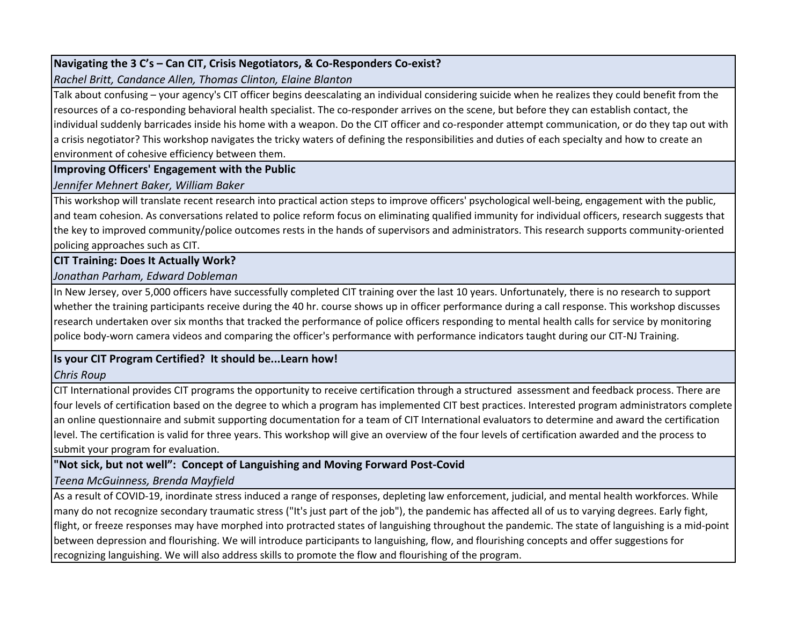# **Navigating the 3 C's – Can CIT, Crisis Negotiators, & Co-Responders Co-exist?**

*Rachel Britt, Candance Allen, Thomas Clinton, Elaine Blanton*

Talk about confusing – your agency's CIT officer begins deescalating an individual considering suicide when he realizes they could benefit from the resources of a co-responding behavioral health specialist. The co-responder arrives on the scene, but before they can establish contact, the individual suddenly barricades inside his home with a weapon. Do the CIT officer and co-responder attempt communication, or do they tap out with a crisis negotiator? This workshop navigates the tricky waters of defining the responsibilities and duties of each specialty and how to create an environment of cohesive efficiency between them.

#### **Improving Officers' Engagement with the Public**

*Jennifer Mehnert Baker, William Baker*

This workshop will translate recent research into practical action steps to improve officers' psychological well-being, engagement with the public, and team cohesion. As conversations related to police reform focus on eliminating qualified immunity for individual officers, research suggests that the key to improved community/police outcomes rests in the hands of supervisors and administrators. This research supports community-oriented policing approaches such as CIT.

# **CIT Training: Does It Actually Work?**

# *Jonathan Parham, Edward Dobleman*

In New Jersey, over 5,000 officers have successfully completed CIT training over the last 10 years. Unfortunately, there is no research to support whether the training participants receive during the 40 hr. course shows up in officer performance during a call response. This workshop discusses research undertaken over six months that tracked the performance of police officers responding to mental health calls for service by monitoring police body-worn camera videos and comparing the officer's performance with performance indicators taught during our CIT-NJ Training.

# **Is your CIT Program Certified? It should be...Learn how!**

# *Chris Roup*

CIT International provides CIT programs the opportunity to receive certification through a structured assessment and feedback process. There are four levels of certification based on the degree to which a program has implemented CIT best practices. Interested program administrators complete an online questionnaire and submit supporting documentation for a team of CIT International evaluators to determine and award the certification level. The certification is valid for three years. This workshop will give an overview of the four levels of certification awarded and the process to submit your program for evaluation.

# **"Not sick, but not well": Concept of Languishing and Moving Forward Post-Covid**

# *Teena McGuinness, Brenda Mayfield*

As a result of COVID-19, inordinate stress induced a range of responses, depleting law enforcement, judicial, and mental health workforces. While many do not recognize secondary traumatic stress ("It's just part of the job"), the pandemic has affected all of us to varying degrees. Early fight, flight, or freeze responses may have morphed into protracted states of languishing throughout the pandemic. The state of languishing is a mid-point between depression and flourishing. We will introduce participants to languishing, flow, and flourishing concepts and offer suggestions for recognizing languishing. We will also address skills to promote the flow and flourishing of the program.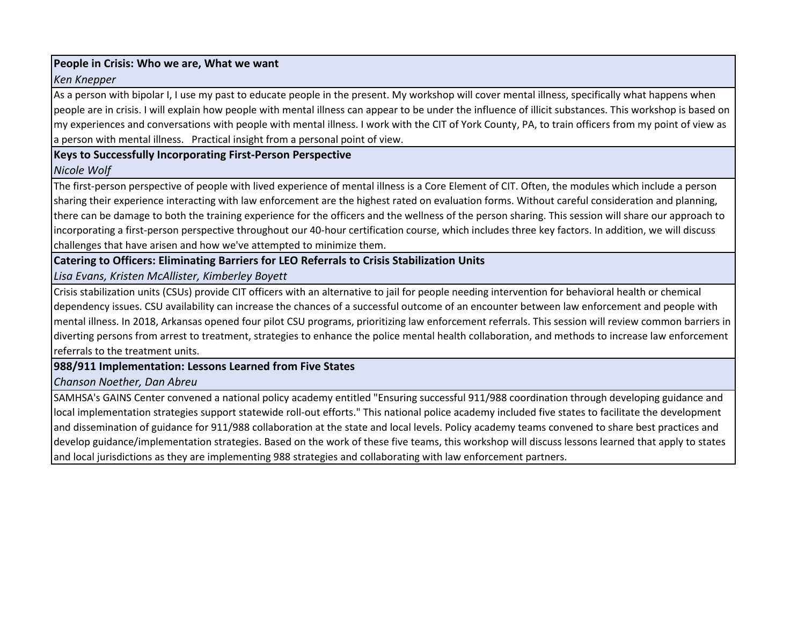#### **People in Crisis: Who we are, What we want**

#### *Ken Knepper*

As a person with bipolar I, I use my past to educate people in the present. My workshop will cover mental illness, specifically what happens when people are in crisis. I will explain how people with mental illness can appear to be under the influence of illicit substances. This workshop is based on my experiences and conversations with people with mental illness. I work with the CIT of York County, PA, to train officers from my point of view as a person with mental illness. Practical insight from a personal point of view.

#### **Keys to Successfully Incorporating First-Person Perspective**

# *Nicole Wolf*

The first-person perspective of people with lived experience of mental illness is a Core Element of CIT. Often, the modules which include a person sharing their experience interacting with law enforcement are the highest rated on evaluation forms. Without careful consideration and planning, there can be damage to both the training experience for the officers and the wellness of the person sharing. This session will share our approach to incorporating a first-person perspective throughout our 40-hour certification course, which includes three key factors. In addition, we will discuss challenges that have arisen and how we've attempted to minimize them.

# **Catering to Officers: Eliminating Barriers for LEO Referrals to Crisis Stabilization Units**

# *Lisa Evans, Kristen McAllister, Kimberley Boyett*

Crisis stabilization units (CSUs) provide CIT officers with an alternative to jail for people needing intervention for behavioral health or chemical dependency issues. CSU availability can increase the chances of a successful outcome of an encounter between law enforcement and people with mental illness. In 2018, Arkansas opened four pilot CSU programs, prioritizing law enforcement referrals. This session will review common barriers in diverting persons from arrest to treatment, strategies to enhance the police mental health collaboration, and methods to increase law enforcement referrals to the treatment units.

# **988/911 Implementation: Lessons Learned from Five States**

# *Chanson Noether, Dan Abreu*

SAMHSA's GAINS Center convened a national policy academy entitled "Ensuring successful 911/988 coordination through developing guidance and local implementation strategies support statewide roll-out efforts." This national police academy included five states to facilitate the development and dissemination of guidance for 911/988 collaboration at the state and local levels. Policy academy teams convened to share best practices and develop guidance/implementation strategies. Based on the work of these five teams, this workshop will discuss lessons learned that apply to states and local jurisdictions as they are implementing 988 strategies and collaborating with law enforcement partners.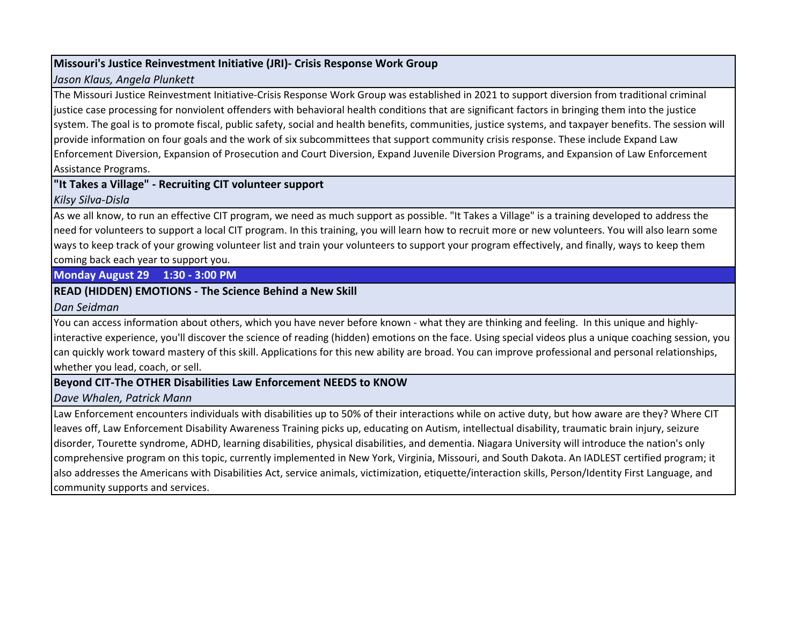#### **Missouri's Justice Reinvestment Initiative (JRI)- Crisis Response Work Group**

#### *Jason Klaus, Angela Plunkett*

The Missouri Justice Reinvestment Initiative-Crisis Response Work Group was established in 2021 to support diversion from traditional criminal justice case processing for nonviolent offenders with behavioral health conditions that are significant factors in bringing them into the justice system. The goal is to promote fiscal, public safety, social and health benefits, communities, justice systems, and taxpayer benefits. The session will provide information on four goals and the work of six subcommittees that support community crisis response. These include Expand Law Enforcement Diversion, Expansion of Prosecution and Court Diversion, Expand Juvenile Diversion Programs, and Expansion of Law Enforcement Assistance Programs.

# **"It Takes a Village" - Recruiting CIT volunteer support** *Kilsy Silva-Disla*

As we all know, to run an effective CIT program, we need as much support as possible. "It Takes a Village" is a training developed to address the need for volunteers to support a local CIT program. In this training, you will learn how to recruit more or new volunteers. You will also learn some ways to keep track of your growing volunteer list and train your volunteers to support your program effectively, and finally, ways to keep them coming back each year to support you.

# **Monday August 29 1:30 - 3:00 PM**

# **READ (HIDDEN) EMOTIONS - The Science Behind a New Skill**

*Dan Seidman*

You can access information about others, which you have never before known - what they are thinking and feeling. In this unique and highlyinteractive experience, you'll discover the science of reading (hidden) emotions on the face. Using special videos plus a unique coaching session, you can quickly work toward mastery of this skill. Applications for this new ability are broad. You can improve professional and personal relationships, whether you lead, coach, or sell.

# **Beyond CIT-The OTHER Disabilities Law Enforcement NEEDS to KNOW**

*Dave Whalen, Patrick Mann*

Law Enforcement encounters individuals with disabilities up to 50% of their interactions while on active duty, but how aware are they? Where CIT leaves off, Law Enforcement Disability Awareness Training picks up, educating on Autism, intellectual disability, traumatic brain injury, seizure disorder, Tourette syndrome, ADHD, learning disabilities, physical disabilities, and dementia. Niagara University will introduce the nation's only comprehensive program on this topic, currently implemented in New York, Virginia, Missouri, and South Dakota. An IADLEST certified program; it also addresses the Americans with Disabilities Act, service animals, victimization, etiquette/interaction skills, Person/Identity First Language, and community supports and services.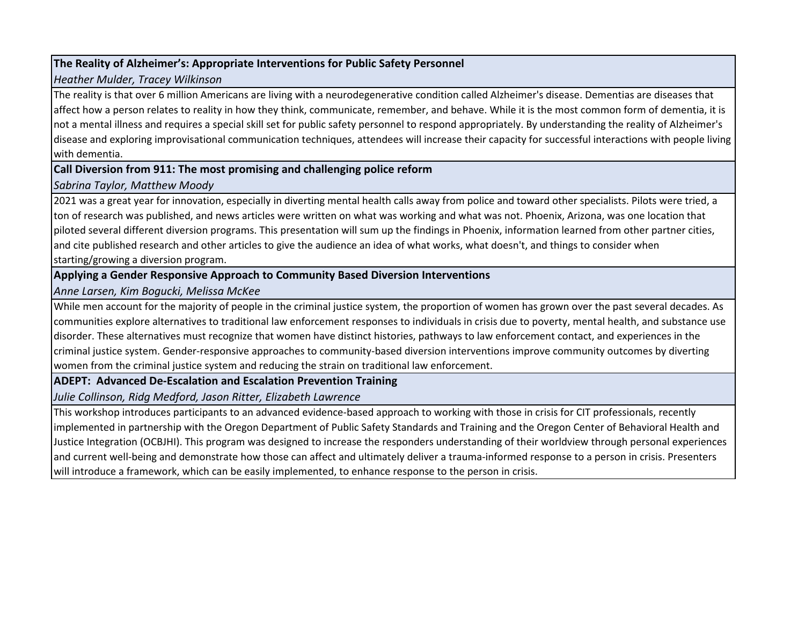# **The Reality of Alzheimer's: Appropriate Interventions for Public Safety Personnel**

#### *Heather Mulder, Tracey Wilkinson*

The reality is that over 6 million Americans are living with a neurodegenerative condition called Alzheimer's disease. Dementias are diseases that affect how a person relates to reality in how they think, communicate, remember, and behave. While it is the most common form of dementia, it is not a mental illness and requires a special skill set for public safety personnel to respond appropriately. By understanding the reality of Alzheimer's disease and exploring improvisational communication techniques, attendees will increase their capacity for successful interactions with people living with dementia.

#### **Call Diversion from 911: The most promising and challenging police reform**

#### *Sabrina Taylor, Matthew Moody*

2021 was a great year for innovation, especially in diverting mental health calls away from police and toward other specialists. Pilots were tried, a ton of research was published, and news articles were written on what was working and what was not. Phoenix, Arizona, was one location that piloted several different diversion programs. This presentation will sum up the findings in Phoenix, information learned from other partner cities, and cite published research and other articles to give the audience an idea of what works, what doesn't, and things to consider when starting/growing a diversion program.

## **Applying a Gender Responsive Approach to Community Based Diversion Interventions**

#### *Anne Larsen, Kim Bogucki, Melissa McKee*

While men account for the majority of people in the criminal justice system, the proportion of women has grown over the past several decades. As communities explore alternatives to traditional law enforcement responses to individuals in crisis due to poverty, mental health, and substance use disorder. These alternatives must recognize that women have distinct histories, pathways to law enforcement contact, and experiences in the criminal justice system. Gender-responsive approaches to community-based diversion interventions improve community outcomes by diverting women from the criminal justice system and reducing the strain on traditional law enforcement.

# **ADEPT: Advanced De-Escalation and Escalation Prevention Training**

*Julie Collinson, Ridg Medford, Jason Ritter, Elizabeth Lawrence*

This workshop introduces participants to an advanced evidence-based approach to working with those in crisis for CIT professionals, recently implemented in partnership with the Oregon Department of Public Safety Standards and Training and the Oregon Center of Behavioral Health and Justice Integration (OCBJHI). This program was designed to increase the responders understanding of their worldview through personal experiences and current well-being and demonstrate how those can affect and ultimately deliver a trauma-informed response to a person in crisis. Presenters will introduce a framework, which can be easily implemented, to enhance response to the person in crisis.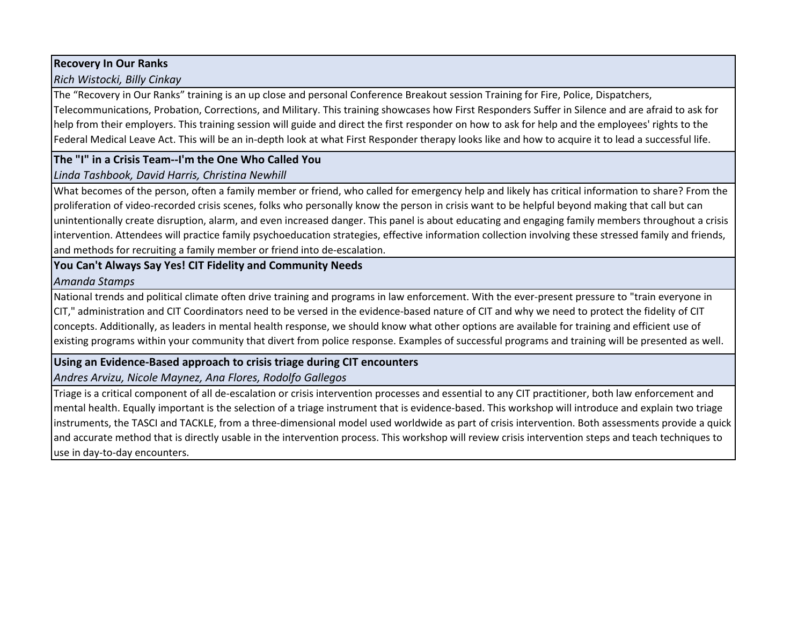#### **Recovery In Our Ranks**

# *Rich Wistocki, Billy Cinkay*

The "Recovery in Our Ranks" training is an up close and personal Conference Breakout session Training for Fire, Police, Dispatchers, Telecommunications, Probation, Corrections, and Military. This training showcases how First Responders Suffer in Silence and are afraid to ask for help from their employers. This training session will guide and direct the first responder on how to ask for help and the employees' rights to the Federal Medical Leave Act. This will be an in-depth look at what First Responder therapy looks like and how to acquire it to lead a successful life.

# **The "I" in a Crisis Team--I'm the One Who Called You**

# *Linda Tashbook, David Harris, Christina Newhill*

What becomes of the person, often a family member or friend, who called for emergency help and likely has critical information to share? From the proliferation of video-recorded crisis scenes, folks who personally know the person in crisis want to be helpful beyond making that call but can unintentionally create disruption, alarm, and even increased danger. This panel is about educating and engaging family members throughout a crisis intervention. Attendees will practice family psychoeducation strategies, effective information collection involving these stressed family and friends, and methods for recruiting a family member or friend into de-escalation.

# **You Can't Always Say Yes! CIT Fidelity and Community Needs**

#### *Amanda Stamps*

National trends and political climate often drive training and programs in law enforcement. With the ever-present pressure to "train everyone in CIT," administration and CIT Coordinators need to be versed in the evidence-based nature of CIT and why we need to protect the fidelity of CIT concepts. Additionally, as leaders in mental health response, we should know what other options are available for training and efficient use of existing programs within your community that divert from police response. Examples of successful programs and training will be presented as well.

# **Using an Evidence-Based approach to crisis triage during CIT encounters**

# *Andres Arvizu, Nicole Maynez, Ana Flores, Rodolfo Gallegos*

Triage is a critical component of all de-escalation or crisis intervention processes and essential to any CIT practitioner, both law enforcement and mental health. Equally important is the selection of a triage instrument that is evidence-based. This workshop will introduce and explain two triage instruments, the TASCI and TACKLE, from a three-dimensional model used worldwide as part of crisis intervention. Both assessments provide a quick and accurate method that is directly usable in the intervention process. This workshop will review crisis intervention steps and teach techniques to use in day-to-day encounters.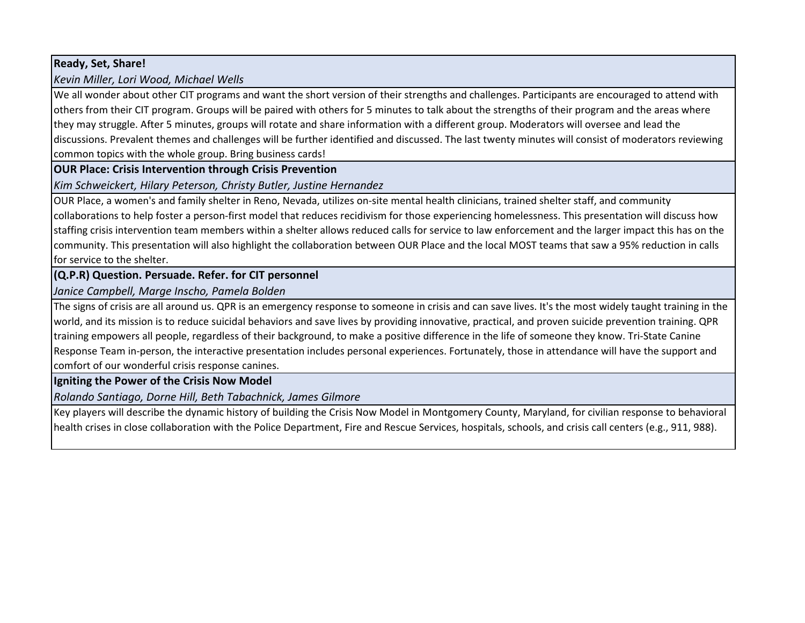# **Ready, Set, Share!**

# *Kevin Miller, Lori Wood, Michael Wells*

We all wonder about other CIT programs and want the short version of their strengths and challenges. Participants are encouraged to attend with others from their CIT program. Groups will be paired with others for 5 minutes to talk about the strengths of their program and the areas where they may struggle. After 5 minutes, groups will rotate and share information with a different group. Moderators will oversee and lead the discussions. Prevalent themes and challenges will be further identified and discussed. The last twenty minutes will consist of moderators reviewing common topics with the whole group. Bring business cards!

# **OUR Place: Crisis Intervention through Crisis Prevention**

*Kim Schweickert, Hilary Peterson, Christy Butler, Justine Hernandez*

OUR Place, a women's and family shelter in Reno, Nevada, utilizes on-site mental health clinicians, trained shelter staff, and community collaborations to help foster a person-first model that reduces recidivism for those experiencing homelessness. This presentation will discuss how staffing crisis intervention team members within a shelter allows reduced calls for service to law enforcement and the larger impact this has on the community. This presentation will also highlight the collaboration between OUR Place and the local MOST teams that saw a 95% reduction in calls for service to the shelter.

# **(Q.P.R) Question. Persuade. Refer. for CIT personnel**

*Janice Campbell, Marge Inscho, Pamela Bolden*

The signs of crisis are all around us. QPR is an emergency response to someone in crisis and can save lives. It's the most widely taught training in the world, and its mission is to reduce suicidal behaviors and save lives by providing innovative, practical, and proven suicide prevention training. QPR training empowers all people, regardless of their background, to make a positive difference in the life of someone they know. Tri-State Canine Response Team in-person, the interactive presentation includes personal experiences. Fortunately, those in attendance will have the support and comfort of our wonderful crisis response canines.

# **Igniting the Power of the Crisis Now Model**

*Rolando Santiago, Dorne Hill, Beth Tabachnick, James Gilmore*

Key players will describe the dynamic history of building the Crisis Now Model in Montgomery County, Maryland, for civilian response to behavioral health crises in close collaboration with the Police Department, Fire and Rescue Services, hospitals, schools, and crisis call centers (e.g., 911, 988).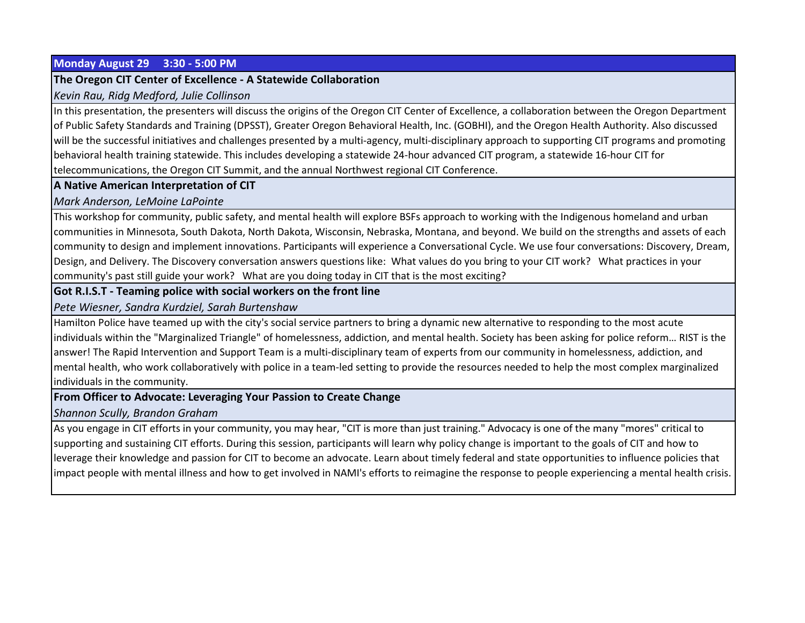#### **Monday August 29 3:30 - 5:00 PM**

#### **The Oregon CIT Center of Excellence - A Statewide Collaboration**

#### *Kevin Rau, Ridg Medford, Julie Collinson*

In this presentation, the presenters will discuss the origins of the Oregon CIT Center of Excellence, a collaboration between the Oregon Department of Public Safety Standards and Training (DPSST), Greater Oregon Behavioral Health, Inc. (GOBHI), and the Oregon Health Authority. Also discussed will be the successful initiatives and challenges presented by a multi-agency, multi-disciplinary approach to supporting CIT programs and promoting behavioral health training statewide. This includes developing a statewide 24-hour advanced CIT program, a statewide 16-hour CIT for telecommunications, the Oregon CIT Summit, and the annual Northwest regional CIT Conference.

#### **A Native American Interpretation of CIT**

#### *Mark Anderson, LeMoine LaPointe*

This workshop for community, public safety, and mental health will explore BSFs approach to working with the Indigenous homeland and urban communities in Minnesota, South Dakota, North Dakota, Wisconsin, Nebraska, Montana, and beyond. We build on the strengths and assets of each community to design and implement innovations. Participants will experience a Conversational Cycle. We use four conversations: Discovery, Dream, Design, and Delivery. The Discovery conversation answers questions like: What values do you bring to your CIT work? What practices in your community's past still guide your work? What are you doing today in CIT that is the most exciting?

#### **Got R.I.S.T - Teaming police with social workers on the front line**

*Pete Wiesner, Sandra Kurdziel, Sarah Burtenshaw*

Hamilton Police have teamed up with the city's social service partners to bring a dynamic new alternative to responding to the most acute individuals within the "Marginalized Triangle" of homelessness, addiction, and mental health. Society has been asking for police reform… RIST is the answer! The Rapid Intervention and Support Team is a multi-disciplinary team of experts from our community in homelessness, addiction, and mental health, who work collaboratively with police in a team-led setting to provide the resources needed to help the most complex marginalized individuals in the community.

#### **From Officer to Advocate: Leveraging Your Passion to Create Change**

*Shannon Scully, Brandon Graham*

As you engage in CIT efforts in your community, you may hear, "CIT is more than just training." Advocacy is one of the many "mores" critical to supporting and sustaining CIT efforts. During this session, participants will learn why policy change is important to the goals of CIT and how to leverage their knowledge and passion for CIT to become an advocate. Learn about timely federal and state opportunities to influence policies that impact people with mental illness and how to get involved in NAMI's efforts to reimagine the response to people experiencing a mental health crisis.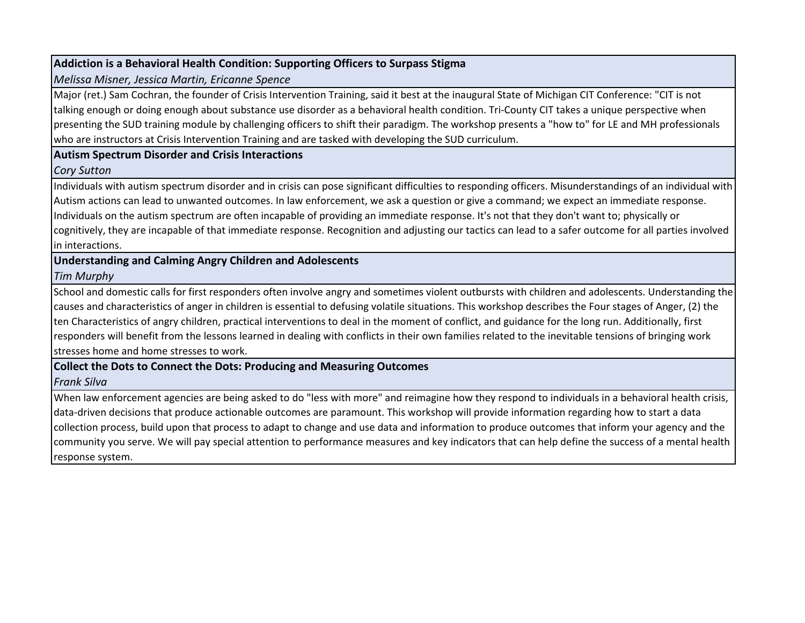## **Addiction is a Behavioral Health Condition: Supporting Officers to Surpass Stigma**

#### *Melissa Misner, Jessica Martin, Ericanne Spence*

Major (ret.) Sam Cochran, the founder of Crisis Intervention Training, said it best at the inaugural State of Michigan CIT Conference: "CIT is not talking enough or doing enough about substance use disorder as a behavioral health condition. Tri-County CIT takes a unique perspective when presenting the SUD training module by challenging officers to shift their paradigm. The workshop presents a "how to" for LE and MH professionals who are instructors at Crisis Intervention Training and are tasked with developing the SUD curriculum.

#### **Autism Spectrum Disorder and Crisis Interactions**

#### *Cory Sutton*

Individuals with autism spectrum disorder and in crisis can pose significant difficulties to responding officers. Misunderstandings of an individual with Autism actions can lead to unwanted outcomes. In law enforcement, we ask a question or give a command; we expect an immediate response. Individuals on the autism spectrum are often incapable of providing an immediate response. It's not that they don't want to; physically or cognitively, they are incapable of that immediate response. Recognition and adjusting our tactics can lead to a safer outcome for all parties involved in interactions.

# **Understanding and Calming Angry Children and Adolescents**

# *Tim Murphy*

School and domestic calls for first responders often involve angry and sometimes violent outbursts with children and adolescents. Understanding the causes and characteristics of anger in children is essential to defusing volatile situations. This workshop describes the Four stages of Anger, (2) the ten Characteristics of angry children, practical interventions to deal in the moment of conflict, and guidance for the long run. Additionally, first responders will benefit from the lessons learned in dealing with conflicts in their own families related to the inevitable tensions of bringing work stresses home and home stresses to work.

# **Collect the Dots to Connect the Dots: Producing and Measuring Outcomes**

# *Frank Silva*

When law enforcement agencies are being asked to do "less with more" and reimagine how they respond to individuals in a behavioral health crisis, data-driven decisions that produce actionable outcomes are paramount. This workshop will provide information regarding how to start a data collection process, build upon that process to adapt to change and use data and information to produce outcomes that inform your agency and the community you serve. We will pay special attention to performance measures and key indicators that can help define the success of a mental health response system.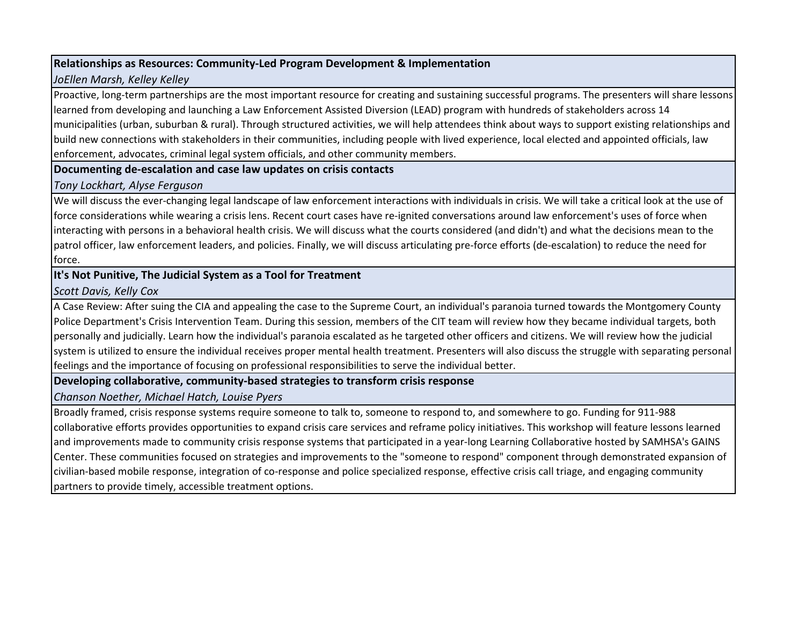#### **Relationships as Resources: Community-Led Program Development & Implementation**

# *JoEllen Marsh, Kelley Kelley*

Proactive, long-term partnerships are the most important resource for creating and sustaining successful programs. The presenters will share lessons learned from developing and launching a Law Enforcement Assisted Diversion (LEAD) program with hundreds of stakeholders across 14 municipalities (urban, suburban & rural). Through structured activities, we will help attendees think about ways to support existing relationships and build new connections with stakeholders in their communities, including people with lived experience, local elected and appointed officials, law enforcement, advocates, criminal legal system officials, and other community members.

#### **Documenting de-escalation and case law updates on crisis contacts**

#### *Tony Lockhart, Alyse Ferguson*

We will discuss the ever-changing legal landscape of law enforcement interactions with individuals in crisis. We will take a critical look at the use of force considerations while wearing a crisis lens. Recent court cases have re-ignited conversations around law enforcement's uses of force when interacting with persons in a behavioral health crisis. We will discuss what the courts considered (and didn't) and what the decisions mean to the patrol officer, law enforcement leaders, and policies. Finally, we will discuss articulating pre-force efforts (de-escalation) to reduce the need for force.

# **It's Not Punitive, The Judicial System as a Tool for Treatment**

# *Scott Davis, Kelly Cox*

A Case Review: After suing the CIA and appealing the case to the Supreme Court, an individual's paranoia turned towards the Montgomery County Police Department's Crisis Intervention Team. During this session, members of the CIT team will review how they became individual targets, both personally and judicially. Learn how the individual's paranoia escalated as he targeted other officers and citizens. We will review how the judicial system is utilized to ensure the individual receives proper mental health treatment. Presenters will also discuss the struggle with separating personal feelings and the importance of focusing on professional responsibilities to serve the individual better.

# **Developing collaborative, community-based strategies to transform crisis response**

#### *Chanson Noether, Michael Hatch, Louise Pyers*

Broadly framed, crisis response systems require someone to talk to, someone to respond to, and somewhere to go. Funding for 911-988 collaborative efforts provides opportunities to expand crisis care services and reframe policy initiatives. This workshop will feature lessons learned and improvements made to community crisis response systems that participated in a year-long Learning Collaborative hosted by SAMHSA's GAINS Center. These communities focused on strategies and improvements to the "someone to respond" component through demonstrated expansion of civilian-based mobile response, integration of co-response and police specialized response, effective crisis call triage, and engaging community partners to provide timely, accessible treatment options.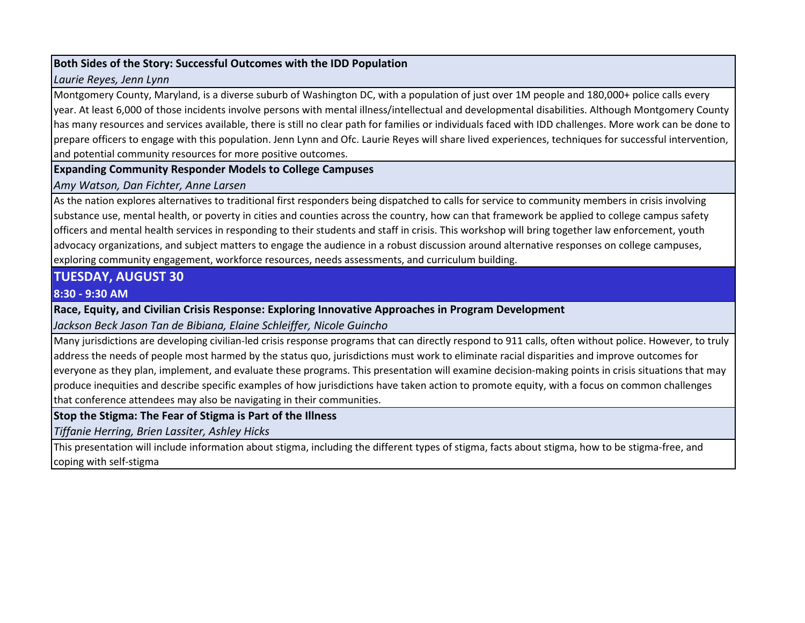### **Both Sides of the Story: Successful Outcomes with the IDD Population**

#### *Laurie Reyes, Jenn Lynn*

Montgomery County, Maryland, is a diverse suburb of Washington DC, with a population of just over 1M people and 180,000+ police calls every year. At least 6,000 of those incidents involve persons with mental illness/intellectual and developmental disabilities. Although Montgomery County has many resources and services available, there is still no clear path for families or individuals faced with IDD challenges. More work can be done to prepare officers to engage with this population. Jenn Lynn and Ofc. Laurie Reyes will share lived experiences, techniques for successful intervention, and potential community resources for more positive outcomes.

**Expanding Community Responder Models to College Campuses**

*Amy Watson, Dan Fichter, Anne Larsen*

As the nation explores alternatives to traditional first responders being dispatched to calls for service to community members in crisis involving substance use, mental health, or poverty in cities and counties across the country, how can that framework be applied to college campus safety officers and mental health services in responding to their students and staff in crisis. This workshop will bring together law enforcement, youth advocacy organizations, and subject matters to engage the audience in a robust discussion around alternative responses on college campuses, exploring community engagement, workforce resources, needs assessments, and curriculum building.

# **TUESDAY, AUGUST 30**

#### **8:30 - 9:30 AM**

**Race, Equity, and Civilian Crisis Response: Exploring Innovative Approaches in Program Development**

*Jackson Beck Jason Tan de Bibiana, Elaine Schleiffer, Nicole Guincho*

Many jurisdictions are developing civilian-led crisis response programs that can directly respond to 911 calls, often without police. However, to truly address the needs of people most harmed by the status quo, jurisdictions must work to eliminate racial disparities and improve outcomes for everyone as they plan, implement, and evaluate these programs. This presentation will examine decision-making points in crisis situations that may produce inequities and describe specific examples of how jurisdictions have taken action to promote equity, with a focus on common challenges that conference attendees may also be navigating in their communities.

# **Stop the Stigma: The Fear of Stigma is Part of the Illness**

*Tiffanie Herring, Brien Lassiter, Ashley Hicks*

This presentation will include information about stigma, including the different types of stigma, facts about stigma, how to be stigma-free, and coping with self-stigma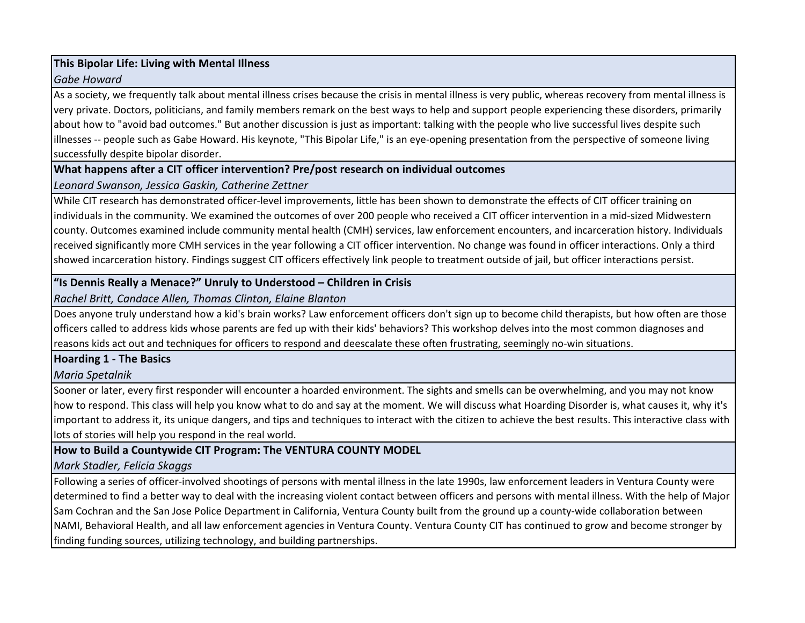#### **This Bipolar Life: Living with Mental Illness**

### *Gabe Howard*

As a society, we frequently talk about mental illness crises because the crisis in mental illness is very public, whereas recovery from mental illness is very private. Doctors, politicians, and family members remark on the best ways to help and support people experiencing these disorders, primarily about how to "avoid bad outcomes." But another discussion is just as important: talking with the people who live successful lives despite such illnesses -- people such as Gabe Howard. His keynote, "This Bipolar Life," is an eye-opening presentation from the perspective of someone living successfully despite bipolar disorder.

# **What happens after a CIT officer intervention? Pre/post research on individual outcomes**

# *Leonard Swanson, Jessica Gaskin, Catherine Zettner*

While CIT research has demonstrated officer-level improvements, little has been shown to demonstrate the effects of CIT officer training on individuals in the community. We examined the outcomes of over 200 people who received a CIT officer intervention in a mid-sized Midwestern county. Outcomes examined include community mental health (CMH) services, law enforcement encounters, and incarceration history. Individuals received significantly more CMH services in the year following a CIT officer intervention. No change was found in officer interactions. Only a third showed incarceration history. Findings suggest CIT officers effectively link people to treatment outside of jail, but officer interactions persist.

# **"Is Dennis Really a Menace?" Unruly to Understood – Children in Crisis**

*Rachel Britt, Candace Allen, Thomas Clinton, Elaine Blanton*

Does anyone truly understand how a kid's brain works? Law enforcement officers don't sign up to become child therapists, but how often are those officers called to address kids whose parents are fed up with their kids' behaviors? This workshop delves into the most common diagnoses and reasons kids act out and techniques for officers to respond and deescalate these often frustrating, seemingly no-win situations.

# **Hoarding 1 - The Basics**

*Maria Spetalnik*

Sooner or later, every first responder will encounter a hoarded environment. The sights and smells can be overwhelming, and you may not know how to respond. This class will help you know what to do and say at the moment. We will discuss what Hoarding Disorder is, what causes it, why it's important to address it, its unique dangers, and tips and techniques to interact with the citizen to achieve the best results. This interactive class with lots of stories will help you respond in the real world.

# **How to Build a Countywide CIT Program: The VENTURA COUNTY MODEL**

*Mark Stadler, Felicia Skaggs*

Following a series of officer-involved shootings of persons with mental illness in the late 1990s, law enforcement leaders in Ventura County were determined to find a better way to deal with the increasing violent contact between officers and persons with mental illness. With the help of Major Sam Cochran and the San Jose Police Department in California, Ventura County built from the ground up a county-wide collaboration between NAMI, Behavioral Health, and all law enforcement agencies in Ventura County. Ventura County CIT has continued to grow and become stronger by finding funding sources, utilizing technology, and building partnerships.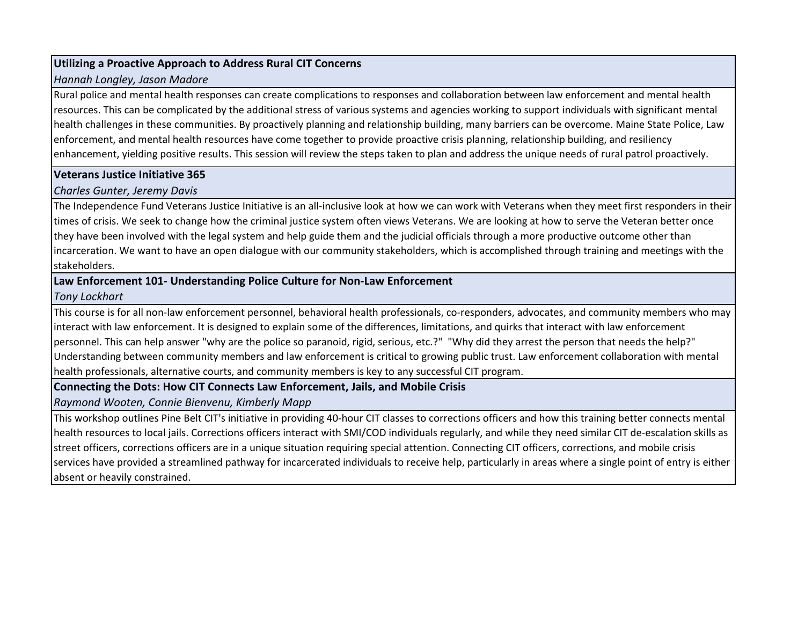#### **Utilizing a Proactive Approach to Address Rural CIT Concerns**

### *Hannah Longley, Jason Madore*

Rural police and mental health responses can create complications to responses and collaboration between law enforcement and mental health resources. This can be complicated by the additional stress of various systems and agencies working to support individuals with significant mental health challenges in these communities. By proactively planning and relationship building, many barriers can be overcome. Maine State Police, Law enforcement, and mental health resources have come together to provide proactive crisis planning, relationship building, and resiliency enhancement, yielding positive results. This session will review the steps taken to plan and address the unique needs of rural patrol proactively.

# **Veterans Justice Initiative 365**

# *Charles Gunter, Jeremy Davis*

The Independence Fund Veterans Justice Initiative is an all-inclusive look at how we can work with Veterans when they meet first responders in their times of crisis. We seek to change how the criminal justice system often views Veterans. We are looking at how to serve the Veteran better once they have been involved with the legal system and help guide them and the judicial officials through a more productive outcome other than incarceration. We want to have an open dialogue with our community stakeholders, which is accomplished through training and meetings with the stakeholders.

# **Law Enforcement 101- Understanding Police Culture for Non-Law Enforcement**

# *Tony Lockhart*

This course is for all non-law enforcement personnel, behavioral health professionals, co-responders, advocates, and community members who may interact with law enforcement. It is designed to explain some of the differences, limitations, and quirks that interact with law enforcement personnel. This can help answer "why are the police so paranoid, rigid, serious, etc.?" "Why did they arrest the person that needs the help?" Understanding between community members and law enforcement is critical to growing public trust. Law enforcement collaboration with mental health professionals, alternative courts, and community members is key to any successful CIT program.

# **Connecting the Dots: How CIT Connects Law Enforcement, Jails, and Mobile Crisis**

*Raymond Wooten, Connie Bienvenu, Kimberly Mapp*

This workshop outlines Pine Belt CIT's initiative in providing 40-hour CIT classes to corrections officers and how this training better connects mental health resources to local jails. Corrections officers interact with SMI/COD individuals regularly, and while they need similar CIT de-escalation skills as street officers, corrections officers are in a unique situation requiring special attention. Connecting CIT officers, corrections, and mobile crisis services have provided a streamlined pathway for incarcerated individuals to receive help, particularly in areas where a single point of entry is either absent or heavily constrained.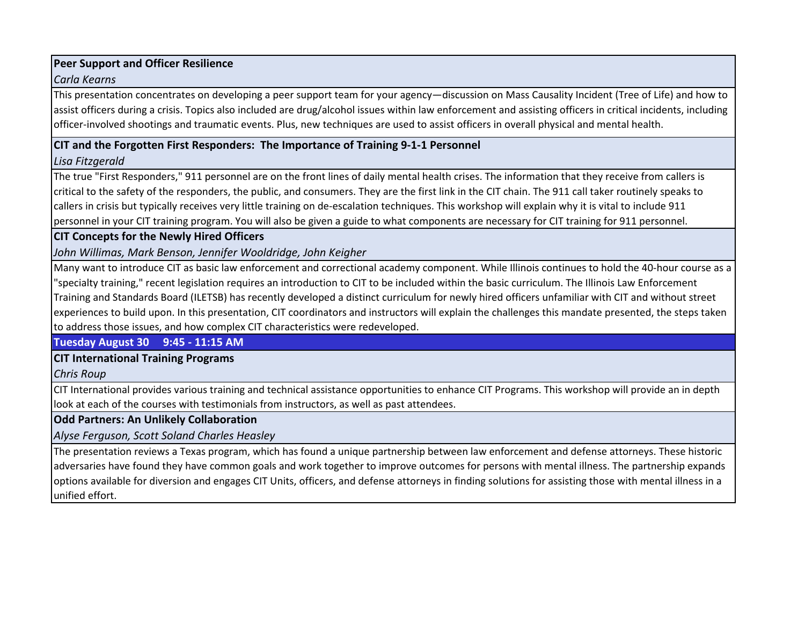# **Peer Support and Officer Resilience**

#### *Carla Kearns*

This presentation concentrates on developing a peer support team for your agency—discussion on Mass Causality Incident (Tree of Life) and how to assist officers during a crisis. Topics also included are drug/alcohol issues within law enforcement and assisting officers in critical incidents, including officer-involved shootings and traumatic events. Plus, new techniques are used to assist officers in overall physical and mental health.

#### **CIT and the Forgotten First Responders: The Importance of Training 9-1-1 Personnel**

*Lisa Fitzgerald*

The true "First Responders," 911 personnel are on the front lines of daily mental health crises. The information that they receive from callers is critical to the safety of the responders, the public, and consumers. They are the first link in the CIT chain. The 911 call taker routinely speaks to callers in crisis but typically receives very little training on de-escalation techniques. This workshop will explain why it is vital to include 911 personnel in your CIT training program. You will also be given a guide to what components are necessary for CIT training for 911 personnel.

**CIT Concepts for the Newly Hired Officers**

*John Willimas, Mark Benson, Jennifer Wooldridge, John Keigher*

Many want to introduce CIT as basic law enforcement and correctional academy component. While Illinois continues to hold the 40-hour course as a "specialty training," recent legislation requires an introduction to CIT to be included within the basic curriculum. The Illinois Law Enforcement Training and Standards Board (ILETSB) has recently developed a distinct curriculum for newly hired officers unfamiliar with CIT and without street experiences to build upon. In this presentation, CIT coordinators and instructors will explain the challenges this mandate presented, the steps taken to address those issues, and how complex CIT characteristics were redeveloped.

**Tuesday August 30 9:45 - 11:15 AM**

# **CIT International Training Programs**

*Chris Roup*

CIT International provides various training and technical assistance opportunities to enhance CIT Programs. This workshop will provide an in depth look at each of the courses with testimonials from instructors, as well as past attendees.

**Odd Partners: An Unlikely Collaboration**

*Alyse Ferguson, Scott Soland Charles Heasley*

The presentation reviews a Texas program, which has found a unique partnership between law enforcement and defense attorneys. These historic adversaries have found they have common goals and work together to improve outcomes for persons with mental illness. The partnership expands options available for diversion and engages CIT Units, officers, and defense attorneys in finding solutions for assisting those with mental illness in a unified effort.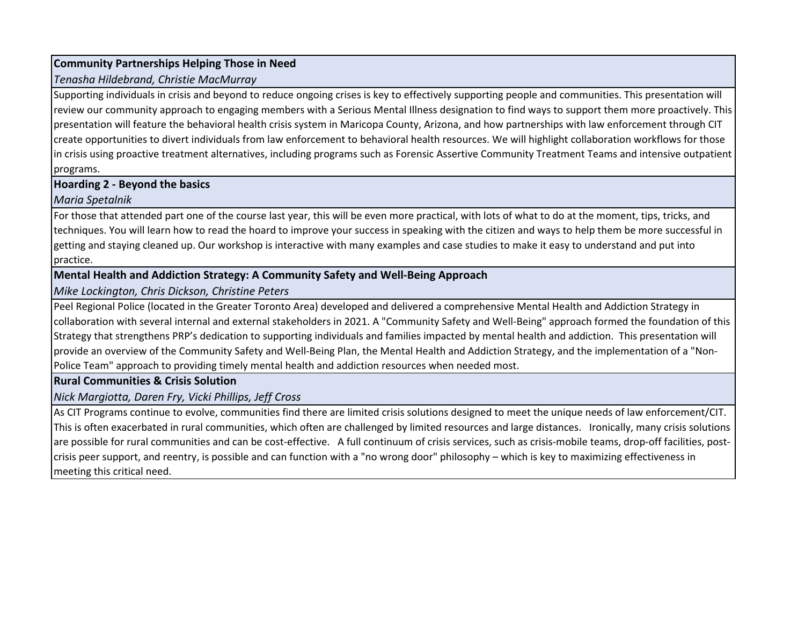#### **Community Partnerships Helping Those in Need**

# *Tenasha Hildebrand, Christie MacMurray*

Supporting individuals in crisis and beyond to reduce ongoing crises is key to effectively supporting people and communities. This presentation will review our community approach to engaging members with a Serious Mental Illness designation to find ways to support them more proactively. This presentation will feature the behavioral health crisis system in Maricopa County, Arizona, and how partnerships with law enforcement through CIT create opportunities to divert individuals from law enforcement to behavioral health resources. We will highlight collaboration workflows for those in crisis using proactive treatment alternatives, including programs such as Forensic Assertive Community Treatment Teams and intensive outpatient programs.

# **Hoarding 2 - Beyond the basics**

# *Maria Spetalnik*

For those that attended part one of the course last year, this will be even more practical, with lots of what to do at the moment, tips, tricks, and techniques. You will learn how to read the hoard to improve your success in speaking with the citizen and ways to help them be more successful in getting and staying cleaned up. Our workshop is interactive with many examples and case studies to make it easy to understand and put into practice.

# **Mental Health and Addiction Strategy: A Community Safety and Well-Being Approach**

*Mike Lockington, Chris Dickson, Christine Peters*

Peel Regional Police (located in the Greater Toronto Area) developed and delivered a comprehensive Mental Health and Addiction Strategy in collaboration with several internal and external stakeholders in 2021. A "Community Safety and Well-Being" approach formed the foundation of this Strategy that strengthens PRP's dedication to supporting individuals and families impacted by mental health and addiction. This presentation will provide an overview of the Community Safety and Well-Being Plan, the Mental Health and Addiction Strategy, and the implementation of a "Non-Police Team" approach to providing timely mental health and addiction resources when needed most.

# **Rural Communities & Crisis Solution**

*Nick Margiotta, Daren Fry, Vicki Phillips, Jeff Cross*

As CIT Programs continue to evolve, communities find there are limited crisis solutions designed to meet the unique needs of law enforcement/CIT. This is often exacerbated in rural communities, which often are challenged by limited resources and large distances. Ironically, many crisis solutions are possible for rural communities and can be cost-effective. A full continuum of crisis services, such as crisis-mobile teams, drop-off facilities, postcrisis peer support, and reentry, is possible and can function with a "no wrong door" philosophy – which is key to maximizing effectiveness in meeting this critical need.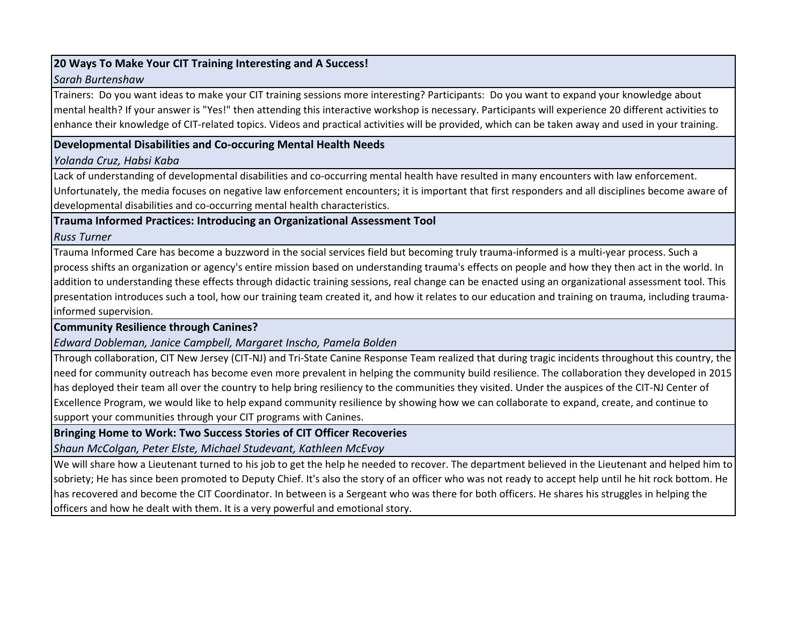# **20 Ways To Make Your CIT Training Interesting and A Success!**

#### *Sarah Burtenshaw*

Trainers: Do you want ideas to make your CIT training sessions more interesting? Participants: Do you want to expand your knowledge about mental health? If your answer is "Yes!" then attending this interactive workshop is necessary. Participants will experience 20 different activities to enhance their knowledge of CIT-related topics. Videos and practical activities will be provided, which can be taken away and used in your training.

# **Developmental Disabilities and Co-occuring Mental Health Needs**

#### *Yolanda Cruz, Habsi Kaba*

Lack of understanding of developmental disabilities and co-occurring mental health have resulted in many encounters with law enforcement. Unfortunately, the media focuses on negative law enforcement encounters; it is important that first responders and all disciplines become aware of developmental disabilities and co-occurring mental health characteristics.

**Trauma Informed Practices: Introducing an Organizational Assessment Tool**

#### *Russ Turner*

Trauma Informed Care has become a buzzword in the social services field but becoming truly trauma-informed is a multi-year process. Such a process shifts an organization or agency's entire mission based on understanding trauma's effects on people and how they then act in the world. In addition to understanding these effects through didactic training sessions, real change can be enacted using an organizational assessment tool. This presentation introduces such a tool, how our training team created it, and how it relates to our education and training on trauma, including traumainformed supervision.

# **Community Resilience through Canines?**

*Edward Dobleman, Janice Campbell, Margaret Inscho, Pamela Bolden*

Through collaboration, CIT New Jersey (CIT-NJ) and Tri-State Canine Response Team realized that during tragic incidents throughout this country, the need for community outreach has become even more prevalent in helping the community build resilience. The collaboration they developed in 2015 has deployed their team all over the country to help bring resiliency to the communities they visited. Under the auspices of the CIT-NJ Center of Excellence Program, we would like to help expand community resilience by showing how we can collaborate to expand, create, and continue to support your communities through your CIT programs with Canines.

# **Bringing Home to Work: Two Success Stories of CIT Officer Recoveries**

*Shaun McColgan, Peter Elste, Michael Studevant, Kathleen McEvoy*

We will share how a Lieutenant turned to his job to get the help he needed to recover. The department believed in the Lieutenant and helped him to sobriety; He has since been promoted to Deputy Chief. It's also the story of an officer who was not ready to accept help until he hit rock bottom. He has recovered and become the CIT Coordinator. In between is a Sergeant who was there for both officers. He shares his struggles in helping the officers and how he dealt with them. It is a very powerful and emotional story.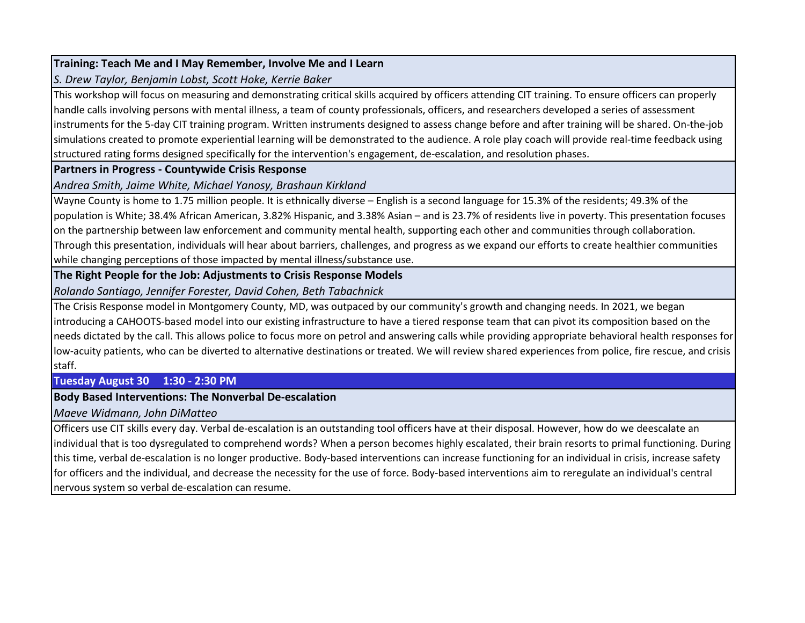# **Training: Teach Me and I May Remember, Involve Me and I Learn**

*S. Drew Taylor, Benjamin Lobst, Scott Hoke, Kerrie Baker*

This workshop will focus on measuring and demonstrating critical skills acquired by officers attending CIT training. To ensure officers can properly handle calls involving persons with mental illness, a team of county professionals, officers, and researchers developed a series of assessment instruments for the 5-day CIT training program. Written instruments designed to assess change before and after training will be shared. On-the-job simulations created to promote experiential learning will be demonstrated to the audience. A role play coach will provide real-time feedback using structured rating forms designed specifically for the intervention's engagement, de-escalation, and resolution phases.

# **Partners in Progress - Countywide Crisis Response**

*Andrea Smith, Jaime White, Michael Yanosy, Brashaun Kirkland*

Wayne County is home to 1.75 million people. It is ethnically diverse – English is a second language for 15.3% of the residents; 49.3% of the population is White; 38.4% African American, 3.82% Hispanic, and 3.38% Asian – and is 23.7% of residents live in poverty. This presentation focuses on the partnership between law enforcement and community mental health, supporting each other and communities through collaboration. Through this presentation, individuals will hear about barriers, challenges, and progress as we expand our efforts to create healthier communities while changing perceptions of those impacted by mental illness/substance use.

**The Right People for the Job: Adjustments to Crisis Response Models**

*Rolando Santiago, Jennifer Forester, David Cohen, Beth Tabachnick*

The Crisis Response model in Montgomery County, MD, was outpaced by our community's growth and changing needs. In 2021, we began introducing a CAHOOTS-based model into our existing infrastructure to have a tiered response team that can pivot its composition based on the needs dictated by the call. This allows police to focus more on petrol and answering calls while providing appropriate behavioral health responses for low-acuity patients, who can be diverted to alternative destinations or treated. We will review shared experiences from police, fire rescue, and crisis staff.

# **Tuesday August 30 1:30 - 2:30 PM**

# **Body Based Interventions: The Nonverbal De-escalation**

*Maeve Widmann, John DiMatteo*

Officers use CIT skills every day. Verbal de-escalation is an outstanding tool officers have at their disposal. However, how do we deescalate an individual that is too dysregulated to comprehend words? When a person becomes highly escalated, their brain resorts to primal functioning. During this time, verbal de-escalation is no longer productive. Body-based interventions can increase functioning for an individual in crisis, increase safety for officers and the individual, and decrease the necessity for the use of force. Body-based interventions aim to reregulate an individual's central nervous system so verbal de-escalation can resume.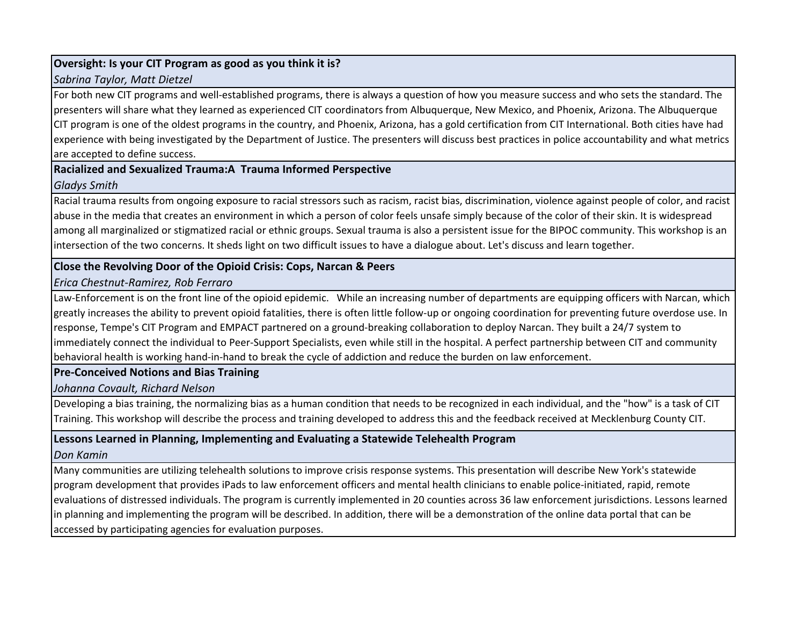### **Oversight: Is your CIT Program as good as you think it is?**

#### *Sabrina Taylor, Matt Dietzel*

For both new CIT programs and well-established programs, there is always a question of how you measure success and who sets the standard. The presenters will share what they learned as experienced CIT coordinators from Albuquerque, New Mexico, and Phoenix, Arizona. The Albuquerque CIT program is one of the oldest programs in the country, and Phoenix, Arizona, has a gold certification from CIT International. Both cities have had experience with being investigated by the Department of Justice. The presenters will discuss best practices in police accountability and what metrics are accepted to define success.

#### **Racialized and Sexualized Trauma:A Trauma Informed Perspective**

#### *Gladys Smith*

Racial trauma results from ongoing exposure to racial stressors such as racism, racist bias, discrimination, violence against people of color, and racist abuse in the media that creates an environment in which a person of color feels unsafe simply because of the color of their skin. It is widespread among all marginalized or stigmatized racial or ethnic groups. Sexual trauma is also a persistent issue for the BIPOC community. This workshop is an intersection of the two concerns. It sheds light on two difficult issues to have a dialogue about. Let's discuss and learn together.

# **Close the Revolving Door of the Opioid Crisis: Cops, Narcan & Peers**

#### *Erica Chestnut-Ramirez, Rob Ferraro*

Law-Enforcement is on the front line of the opioid epidemic. While an increasing number of departments are equipping officers with Narcan, which greatly increases the ability to prevent opioid fatalities, there is often little follow-up or ongoing coordination for preventing future overdose use. In response, Tempe's CIT Program and EMPACT partnered on a ground-breaking collaboration to deploy Narcan. They built a 24/7 system to immediately connect the individual to Peer-Support Specialists, even while still in the hospital. A perfect partnership between CIT and community behavioral health is working hand-in-hand to break the cycle of addiction and reduce the burden on law enforcement.

#### **Pre-Conceived Notions and Bias Training**

*Johanna Covault, Richard Nelson*

Developing a bias training, the normalizing bias as a human condition that needs to be recognized in each individual, and the "how" is a task of CIT Training. This workshop will describe the process and training developed to address this and the feedback received at Mecklenburg County CIT.

# **Lessons Learned in Planning, Implementing and Evaluating a Statewide Telehealth Program**

# *Don Kamin*

Many communities are utilizing telehealth solutions to improve crisis response systems. This presentation will describe New York's statewide program development that provides iPads to law enforcement officers and mental health clinicians to enable police-initiated, rapid, remote evaluations of distressed individuals. The program is currently implemented in 20 counties across 36 law enforcement jurisdictions. Lessons learned in planning and implementing the program will be described. In addition, there will be a demonstration of the online data portal that can be accessed by participating agencies for evaluation purposes.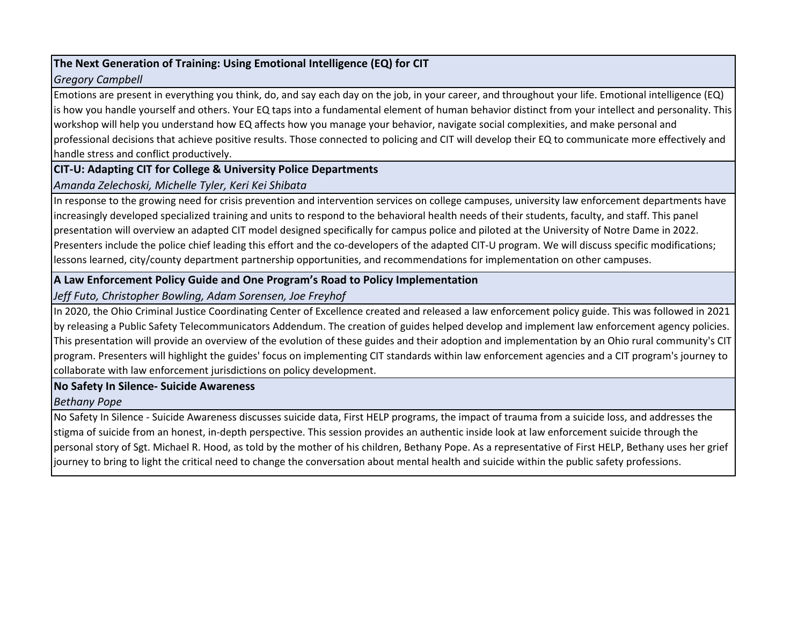# **The Next Generation of Training: Using Emotional Intelligence (EQ) for CIT**

# *Gregory Campbell*

Emotions are present in everything you think, do, and say each day on the job, in your career, and throughout your life. Emotional intelligence (EQ) is how you handle yourself and others. Your EQ taps into a fundamental element of human behavior distinct from your intellect and personality. This workshop will help you understand how EQ affects how you manage your behavior, navigate social complexities, and make personal and professional decisions that achieve positive results. Those connected to policing and CIT will develop their EQ to communicate more effectively and handle stress and conflict productively.

# **CIT-U: Adapting CIT for College & University Police Departments**

# *Amanda Zelechoski, Michelle Tyler, Keri Kei Shibata*

In response to the growing need for crisis prevention and intervention services on college campuses, university law enforcement departments have increasingly developed specialized training and units to respond to the behavioral health needs of their students, faculty, and staff. This panel presentation will overview an adapted CIT model designed specifically for campus police and piloted at the University of Notre Dame in 2022. Presenters include the police chief leading this effort and the co-developers of the adapted CIT-U program. We will discuss specific modifications; lessons learned, city/county department partnership opportunities, and recommendations for implementation on other campuses.

# **A Law Enforcement Policy Guide and One Program's Road to Policy Implementation**

*Jeff Futo, Christopher Bowling, Adam Sorensen, Joe Freyhof*

In 2020, the Ohio Criminal Justice Coordinating Center of Excellence created and released a law enforcement policy guide. This was followed in 2021 by releasing a Public Safety Telecommunicators Addendum. The creation of guides helped develop and implement law enforcement agency policies. This presentation will provide an overview of the evolution of these guides and their adoption and implementation by an Ohio rural community's CIT program. Presenters will highlight the guides' focus on implementing CIT standards within law enforcement agencies and a CIT program's journey to collaborate with law enforcement jurisdictions on policy development.

# **No Safety In Silence- Suicide Awareness**

# *Bethany Pope*

No Safety In Silence - Suicide Awareness discusses suicide data, First HELP programs, the impact of trauma from a suicide loss, and addresses the stigma of suicide from an honest, in-depth perspective. This session provides an authentic inside look at law enforcement suicide through the personal story of Sgt. Michael R. Hood, as told by the mother of his children, Bethany Pope. As a representative of First HELP, Bethany uses her grief journey to bring to light the critical need to change the conversation about mental health and suicide within the public safety professions.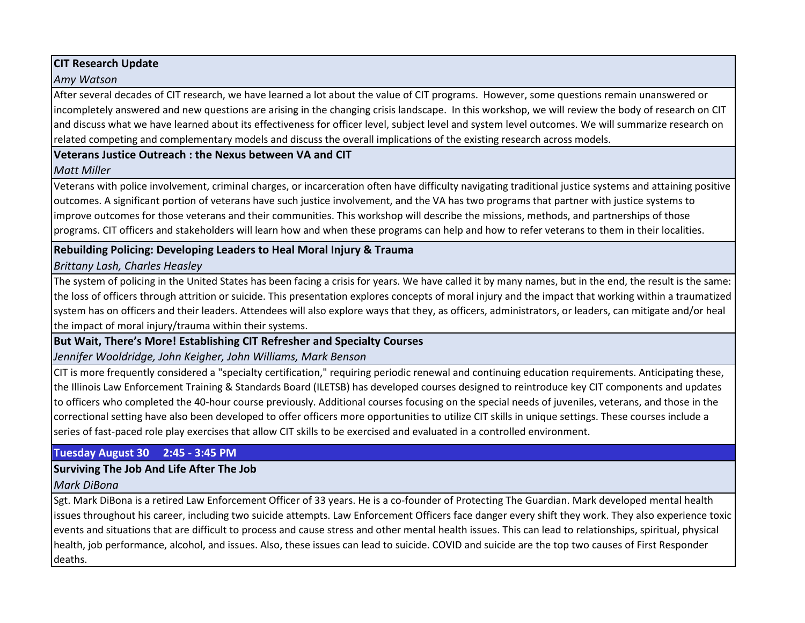# **CIT Research Update**

#### *Amy Watson*

After several decades of CIT research, we have learned a lot about the value of CIT programs. However, some questions remain unanswered or incompletely answered and new questions are arising in the changing crisis landscape. In this workshop, we will review the body of research on CIT and discuss what we have learned about its effectiveness for officer level, subject level and system level outcomes. We will summarize research on related competing and complementary models and discuss the overall implications of the existing research across models.

### **Veterans Justice Outreach : the Nexus between VA and CIT**

# *Matt Miller*

Veterans with police involvement, criminal charges, or incarceration often have difficulty navigating traditional justice systems and attaining positive outcomes. A significant portion of veterans have such justice involvement, and the VA has two programs that partner with justice systems to improve outcomes for those veterans and their communities. This workshop will describe the missions, methods, and partnerships of those programs. CIT officers and stakeholders will learn how and when these programs can help and how to refer veterans to them in their localities.

# **Rebuilding Policing: Developing Leaders to Heal Moral Injury & Trauma**

# *Brittany Lash, Charles Heasley*

The system of policing in the United States has been facing a crisis for years. We have called it by many names, but in the end, the result is the same: the loss of officers through attrition or suicide. This presentation explores concepts of moral injury and the impact that working within a traumatized system has on officers and their leaders. Attendees will also explore ways that they, as officers, administrators, or leaders, can mitigate and/or heal the impact of moral injury/trauma within their systems.

# **But Wait, There's More! Establishing CIT Refresher and Specialty Courses**

*Jennifer Wooldridge, John Keigher, John Williams, Mark Benson*

CIT is more frequently considered a "specialty certification," requiring periodic renewal and continuing education requirements. Anticipating these, the Illinois Law Enforcement Training & Standards Board (ILETSB) has developed courses designed to reintroduce key CIT components and updates to officers who completed the 40-hour course previously. Additional courses focusing on the special needs of juveniles, veterans, and those in the correctional setting have also been developed to offer officers more opportunities to utilize CIT skills in unique settings. These courses include a series of fast-paced role play exercises that allow CIT skills to be exercised and evaluated in a controlled environment.

# **Tuesday August 30 2:45 - 3:45 PM**

# **Surviving The Job And Life After The Job**

*Mark DiBona*

Sgt. Mark DiBona is a retired Law Enforcement Officer of 33 years. He is a co-founder of Protecting The Guardian. Mark developed mental health issues throughout his career, including two suicide attempts. Law Enforcement Officers face danger every shift they work. They also experience toxic events and situations that are difficult to process and cause stress and other mental health issues. This can lead to relationships, spiritual, physical health, job performance, alcohol, and issues. Also, these issues can lead to suicide. COVID and suicide are the top two causes of First Responder deaths.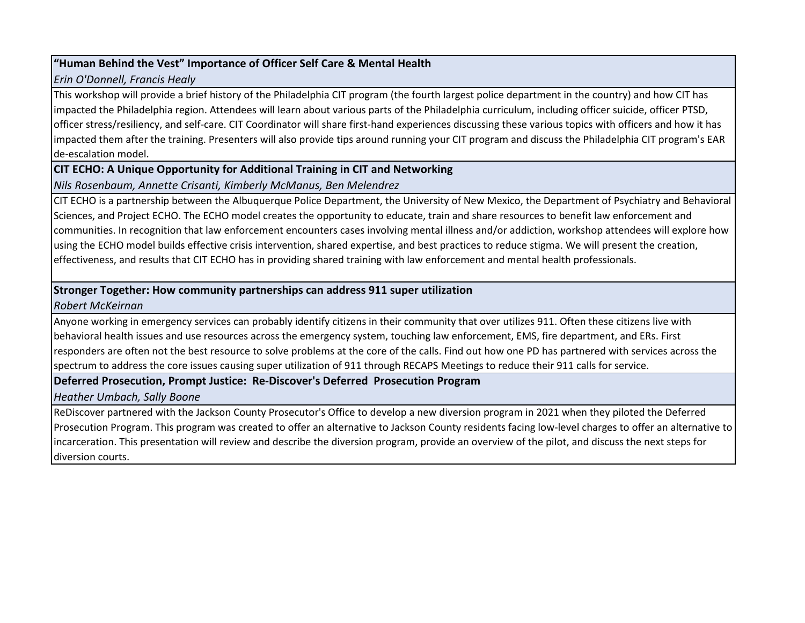# **"Human Behind the Vest" Importance of Officer Self Care & Mental Health**

#### *Erin O'Donnell, Francis Healy*

This workshop will provide a brief history of the Philadelphia CIT program (the fourth largest police department in the country) and how CIT has impacted the Philadelphia region. Attendees will learn about various parts of the Philadelphia curriculum, including officer suicide, officer PTSD, officer stress/resiliency, and self-care. CIT Coordinator will share first-hand experiences discussing these various topics with officers and how it has impacted them after the training. Presenters will also provide tips around running your CIT program and discuss the Philadelphia CIT program's EAR de-escalation model.

# **CIT ECHO: A Unique Opportunity for Additional Training in CIT and Networking**

#### *Nils Rosenbaum, Annette Crisanti, Kimberly McManus, Ben Melendrez*

CIT ECHO is a partnership between the Albuquerque Police Department, the University of New Mexico, the Department of Psychiatry and Behavioral Sciences, and Project ECHO. The ECHO model creates the opportunity to educate, train and share resources to benefit law enforcement and communities. In recognition that law enforcement encounters cases involving mental illness and/or addiction, workshop attendees will explore how using the ECHO model builds effective crisis intervention, shared expertise, and best practices to reduce stigma. We will present the creation, effectiveness, and results that CIT ECHO has in providing shared training with law enforcement and mental health professionals.

# **Stronger Together: How community partnerships can address 911 super utilization**

# *Robert McKeirnan*

Anyone working in emergency services can probably identify citizens in their community that over utilizes 911. Often these citizens live with behavioral health issues and use resources across the emergency system, touching law enforcement, EMS, fire department, and ERs. First responders are often not the best resource to solve problems at the core of the calls. Find out how one PD has partnered with services across the spectrum to address the core issues causing super utilization of 911 through RECAPS Meetings to reduce their 911 calls for service.

# **Deferred Prosecution, Prompt Justice: Re-Discover's Deferred Prosecution Program**

*Heather Umbach, Sally Boone*

ReDiscover partnered with the Jackson County Prosecutor's Office to develop a new diversion program in 2021 when they piloted the Deferred Prosecution Program. This program was created to offer an alternative to Jackson County residents facing low-level charges to offer an alternative to incarceration. This presentation will review and describe the diversion program, provide an overview of the pilot, and discuss the next steps for diversion courts.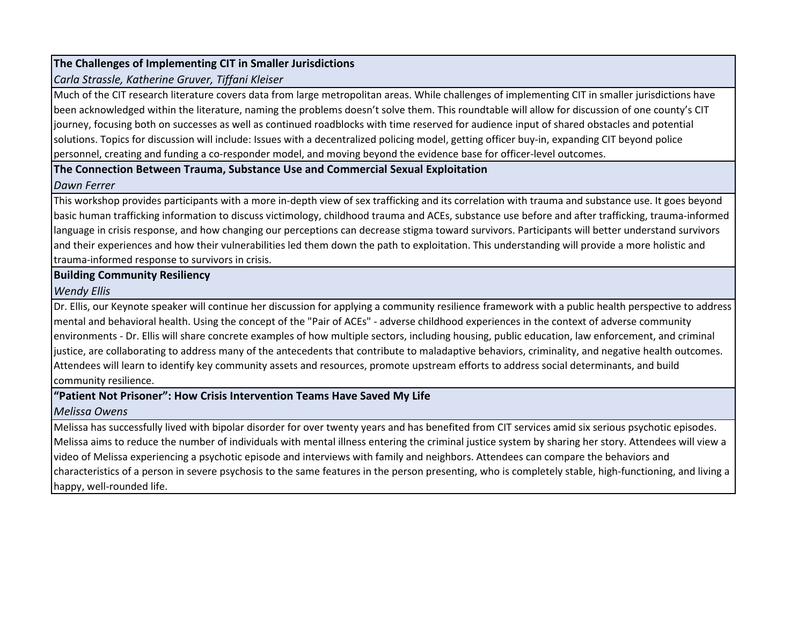# **The Challenges of Implementing CIT in Smaller Jurisdictions**

# *Carla Strassle, Katherine Gruver, Tiffani Kleiser*

Much of the CIT research literature covers data from large metropolitan areas. While challenges of implementing CIT in smaller jurisdictions have been acknowledged within the literature, naming the problems doesn't solve them. This roundtable will allow for discussion of one county's CIT journey, focusing both on successes as well as continued roadblocks with time reserved for audience input of shared obstacles and potential solutions. Topics for discussion will include: Issues with a decentralized policing model, getting officer buy-in, expanding CIT beyond police personnel, creating and funding a co-responder model, and moving beyond the evidence base for officer-level outcomes.

#### **The Connection Between Trauma, Substance Use and Commercial Sexual Exploitation**

#### *Dawn Ferrer*

This workshop provides participants with a more in-depth view of sex trafficking and its correlation with trauma and substance use. It goes beyond basic human trafficking information to discuss victimology, childhood trauma and ACEs, substance use before and after trafficking, trauma-informed language in crisis response, and how changing our perceptions can decrease stigma toward survivors. Participants will better understand survivors and their experiences and how their vulnerabilities led them down the path to exploitation. This understanding will provide a more holistic and trauma-informed response to survivors in crisis.

# **Building Community Resiliency**

#### *Wendy Ellis*

Dr. Ellis, our Keynote speaker will continue her discussion for applying a community resilience framework with a public health perspective to address mental and behavioral health. Using the concept of the "Pair of ACEs" - adverse childhood experiences in the context of adverse community environments - Dr. Ellis will share concrete examples of how multiple sectors, including housing, public education, law enforcement, and criminal justice, are collaborating to address many of the antecedents that contribute to maladaptive behaviors, criminality, and negative health outcomes. Attendees will learn to identify key community assets and resources, promote upstream efforts to address social determinants, and build community resilience.

# **"Patient Not Prisoner": How Crisis Intervention Teams Have Saved My Life**

# *Melissa Owens*

Melissa has successfully lived with bipolar disorder for over twenty years and has benefited from CIT services amid six serious psychotic episodes. Melissa aims to reduce the number of individuals with mental illness entering the criminal justice system by sharing her story. Attendees will view a video of Melissa experiencing a psychotic episode and interviews with family and neighbors. Attendees can compare the behaviors and characteristics of a person in severe psychosis to the same features in the person presenting, who is completely stable, high-functioning, and living a happy, well-rounded life.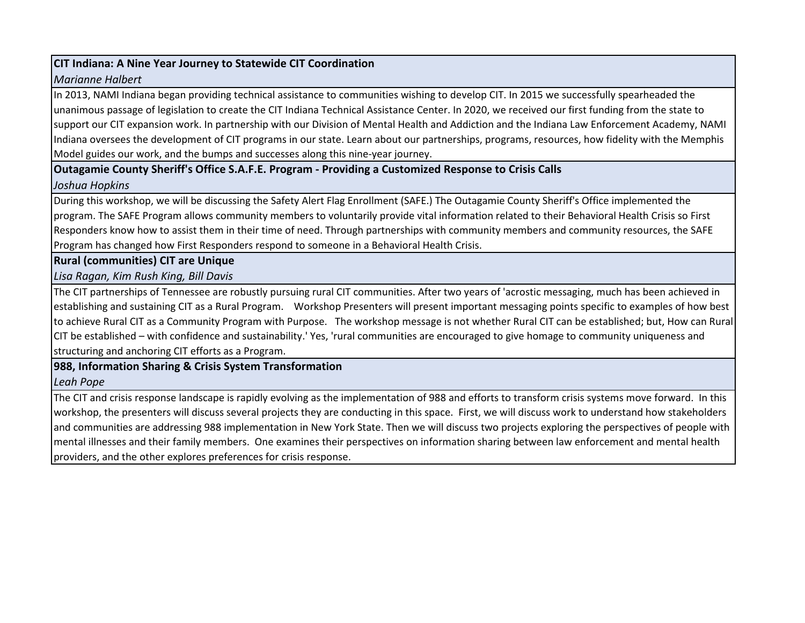### **CIT Indiana: A Nine Year Journey to Statewide CIT Coordination**

#### *Marianne Halbert*

In 2013, NAMI Indiana began providing technical assistance to communities wishing to develop CIT. In 2015 we successfully spearheaded the unanimous passage of legislation to create the CIT Indiana Technical Assistance Center. In 2020, we received our first funding from the state to support our CIT expansion work. In partnership with our Division of Mental Health and Addiction and the Indiana Law Enforcement Academy, NAMI Indiana oversees the development of CIT programs in our state. Learn about our partnerships, programs, resources, how fidelity with the Memphis Model guides our work, and the bumps and successes along this nine-year journey.

# **Outagamie County Sheriff's Office S.A.F.E. Program - Providing a Customized Response to Crisis Calls**

# *Joshua Hopkins*

During this workshop, we will be discussing the Safety Alert Flag Enrollment (SAFE.) The Outagamie County Sheriff's Office implemented the program. The SAFE Program allows community members to voluntarily provide vital information related to their Behavioral Health Crisis so First Responders know how to assist them in their time of need. Through partnerships with community members and community resources, the SAFE Program has changed how First Responders respond to someone in a Behavioral Health Crisis.

# **Rural (communities) CIT are Unique**

# *Lisa Ragan, Kim Rush King, Bill Davis*

The CIT partnerships of Tennessee are robustly pursuing rural CIT communities. After two years of 'acrostic messaging, much has been achieved in establishing and sustaining CIT as a Rural Program. Workshop Presenters will present important messaging points specific to examples of how best to achieve Rural CIT as a Community Program with Purpose. The workshop message is not whether Rural CIT can be established; but, How can Rural CIT be established – with confidence and sustainability.' Yes, 'rural communities are encouraged to give homage to community uniqueness and structuring and anchoring CIT efforts as a Program.

# **988, Information Sharing & Crisis System Transformation**

# *Leah Pope*

The CIT and crisis response landscape is rapidly evolving as the implementation of 988 and efforts to transform crisis systems move forward. In this workshop, the presenters will discuss several projects they are conducting in this space. First, we will discuss work to understand how stakeholders and communities are addressing 988 implementation in New York State. Then we will discuss two projects exploring the perspectives of people with mental illnesses and their family members. One examines their perspectives on information sharing between law enforcement and mental health providers, and the other explores preferences for crisis response.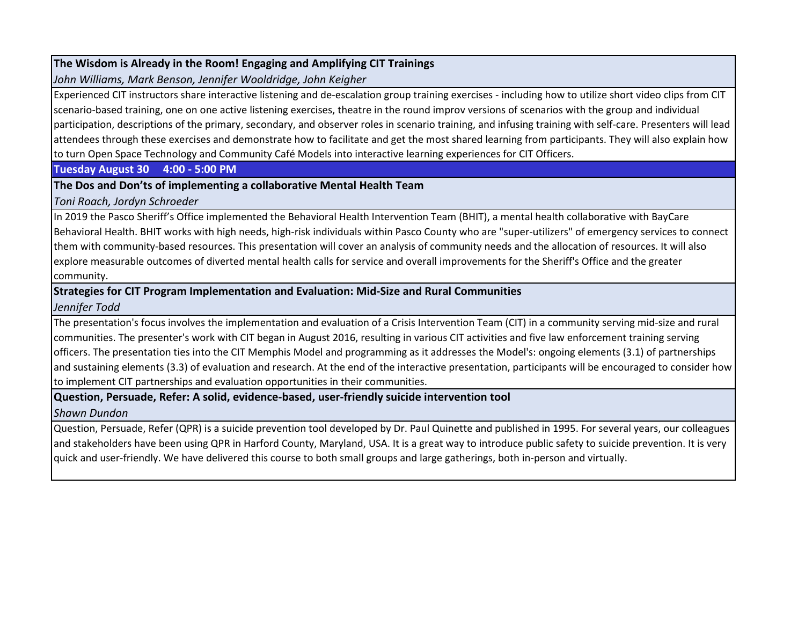### **The Wisdom is Already in the Room! Engaging and Amplifying CIT Trainings**

*John Williams, Mark Benson, Jennifer Wooldridge, John Keigher*

Experienced CIT instructors share interactive listening and de-escalation group training exercises - including how to utilize short video clips from CIT scenario-based training, one on one active listening exercises, theatre in the round improv versions of scenarios with the group and individual participation, descriptions of the primary, secondary, and observer roles in scenario training, and infusing training with self-care. Presenters will lead attendees through these exercises and demonstrate how to facilitate and get the most shared learning from participants. They will also explain how to turn Open Space Technology and Community Café Models into interactive learning experiences for CIT Officers.

#### **Tuesday August 30 4:00 - 5:00 PM**

# **The Dos and Don'ts of implementing a collaborative Mental Health Team**

*Toni Roach, Jordyn Schroeder*

In 2019 the Pasco Sheriff's Office implemented the Behavioral Health Intervention Team (BHIT), a mental health collaborative with BayCare Behavioral Health. BHIT works with high needs, high-risk individuals within Pasco County who are "super-utilizers" of emergency services to connect them with community-based resources. This presentation will cover an analysis of community needs and the allocation of resources. It will also explore measurable outcomes of diverted mental health calls for service and overall improvements for the Sheriff's Office and the greater community.

# **Strategies for CIT Program Implementation and Evaluation: Mid-Size and Rural Communities**

*Jennifer Todd*

The presentation's focus involves the implementation and evaluation of a Crisis Intervention Team (CIT) in a community serving mid-size and rural communities. The presenter's work with CIT began in August 2016, resulting in various CIT activities and five law enforcement training serving officers. The presentation ties into the CIT Memphis Model and programming as it addresses the Model's: ongoing elements (3.1) of partnerships and sustaining elements (3.3) of evaluation and research. At the end of the interactive presentation, participants will be encouraged to consider how to implement CIT partnerships and evaluation opportunities in their communities.

#### **Question, Persuade, Refer: A solid, evidence-based, user-friendly suicide intervention tool** *Shawn Dundon*

Question, Persuade, Refer (QPR) is a suicide prevention tool developed by Dr. Paul Quinette and published in 1995. For several years, our colleagues and stakeholders have been using QPR in Harford County, Maryland, USA. It is a great way to introduce public safety to suicide prevention. It is very quick and user-friendly. We have delivered this course to both small groups and large gatherings, both in-person and virtually.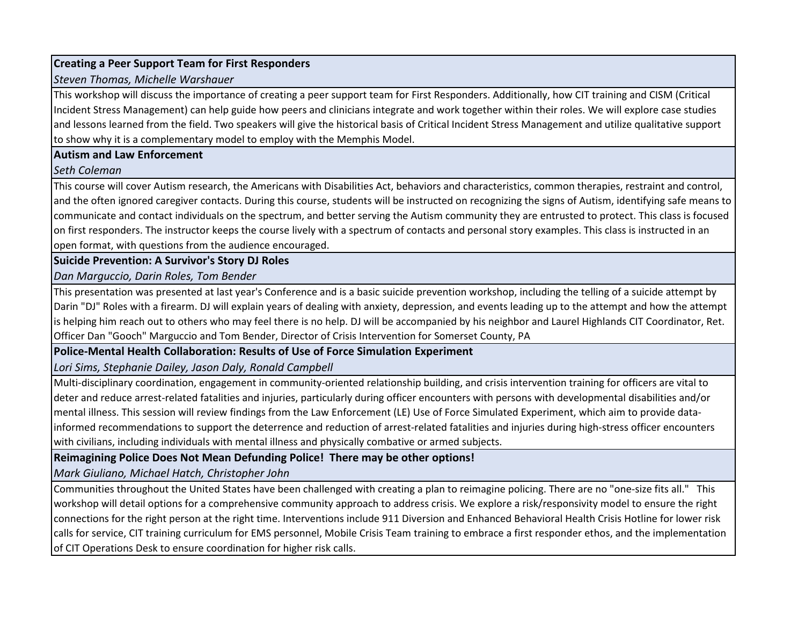# **Creating a Peer Support Team for First Responders**

#### *Steven Thomas, Michelle Warshauer*

This workshop will discuss the importance of creating a peer support team for First Responders. Additionally, how CIT training and CISM (Critical Incident Stress Management) can help guide how peers and clinicians integrate and work together within their roles. We will explore case studies and lessons learned from the field. Two speakers will give the historical basis of Critical Incident Stress Management and utilize qualitative support to show why it is a complementary model to employ with the Memphis Model.

#### **Autism and Law Enforcement**

#### *Seth Coleman*

This course will cover Autism research, the Americans with Disabilities Act, behaviors and characteristics, common therapies, restraint and control, and the often ignored caregiver contacts. During this course, students will be instructed on recognizing the signs of Autism, identifying safe means to communicate and contact individuals on the spectrum, and better serving the Autism community they are entrusted to protect. This class is focused on first responders. The instructor keeps the course lively with a spectrum of contacts and personal story examples. This class is instructed in an open format, with questions from the audience encouraged.

# **Suicide Prevention: A Survivor's Story DJ Roles**

*Dan Marguccio, Darin Roles, Tom Bender*

This presentation was presented at last year's Conference and is a basic suicide prevention workshop, including the telling of a suicide attempt by Darin "DJ" Roles with a firearm. DJ will explain years of dealing with anxiety, depression, and events leading up to the attempt and how the attempt is helping him reach out to others who may feel there is no help. DJ will be accompanied by his neighbor and Laurel Highlands CIT Coordinator, Ret. Officer Dan "Gooch" Marguccio and Tom Bender, Director of Crisis Intervention for Somerset County, PA

# **Police-Mental Health Collaboration: Results of Use of Force Simulation Experiment**

*Lori Sims, Stephanie Dailey, Jason Daly, Ronald Campbell*

Multi-disciplinary coordination, engagement in community-oriented relationship building, and crisis intervention training for officers are vital to deter and reduce arrest-related fatalities and injuries, particularly during officer encounters with persons with developmental disabilities and/or mental illness. This session will review findings from the Law Enforcement (LE) Use of Force Simulated Experiment, which aim to provide datainformed recommendations to support the deterrence and reduction of arrest-related fatalities and injuries during high-stress officer encounters with civilians, including individuals with mental illness and physically combative or armed subjects.

# **Reimagining Police Does Not Mean Defunding Police! There may be other options!**

*Mark Giuliano, Michael Hatch, Christopher John*

Communities throughout the United States have been challenged with creating a plan to reimagine policing. There are no "one-size fits all." This workshop will detail options for a comprehensive community approach to address crisis. We explore a risk/responsivity model to ensure the right connections for the right person at the right time. Interventions include 911 Diversion and Enhanced Behavioral Health Crisis Hotline for lower risk calls for service, CIT training curriculum for EMS personnel, Mobile Crisis Team training to embrace a first responder ethos, and the implementation of CIT Operations Desk to ensure coordination for higher risk calls.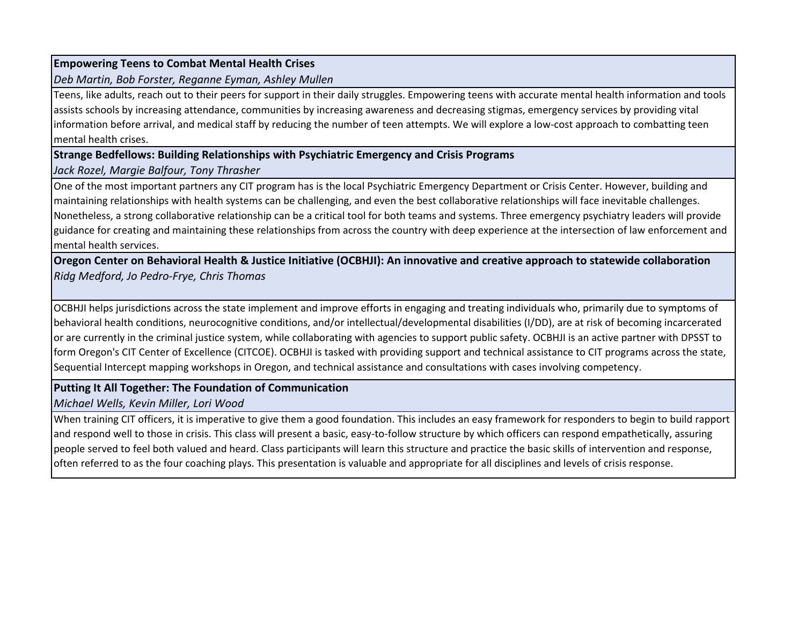#### **Empowering Teens to Combat Mental Health Crises**

*Deb Martin, Bob Forster, Reganne Eyman, Ashley Mullen*

Teens, like adults, reach out to their peers for support in their daily struggles. Empowering teens with accurate mental health information and tools assists schools by increasing attendance, communities by increasing awareness and decreasing stigmas, emergency services by providing vital information before arrival, and medical staff by reducing the number of teen attempts. We will explore a low-cost approach to combatting teen mental health crises.

# **Strange Bedfellows: Building Relationships with Psychiatric Emergency and Crisis Programs**

# *Jack Rozel, Margie Balfour, Tony Thrasher*

One of the most important partners any CIT program has is the local Psychiatric Emergency Department or Crisis Center. However, building and maintaining relationships with health systems can be challenging, and even the best collaborative relationships will face inevitable challenges. Nonetheless, a strong collaborative relationship can be a critical tool for both teams and systems. Three emergency psychiatry leaders will provide guidance for creating and maintaining these relationships from across the country with deep experience at the intersection of law enforcement and mental health services.

**Oregon Center on Behavioral Health & Justice Initiative (OCBHJI): An innovative and creative approach to statewide collaboration** *Ridg Medford, Jo Pedro-Frye, Chris Thomas*

OCBHJI helps jurisdictions across the state implement and improve efforts in engaging and treating individuals who, primarily due to symptoms of behavioral health conditions, neurocognitive conditions, and/or intellectual/developmental disabilities (I/DD), are at risk of becoming incarcerated or are currently in the criminal justice system, while collaborating with agencies to support public safety. OCBHJI is an active partner with DPSST to form Oregon's CIT Center of Excellence (CITCOE). OCBHJI is tasked with providing support and technical assistance to CIT programs across the state, Sequential Intercept mapping workshops in Oregon, and technical assistance and consultations with cases involving competency.

# **Putting It All Together: The Foundation of Communication**

*Michael Wells, Kevin Miller, Lori Wood*

When training CIT officers, it is imperative to give them a good foundation. This includes an easy framework for responders to begin to build rapport and respond well to those in crisis. This class will present a basic, easy-to-follow structure by which officers can respond empathetically, assuring people served to feel both valued and heard. Class participants will learn this structure and practice the basic skills of intervention and response, often referred to as the four coaching plays. This presentation is valuable and appropriate for all disciplines and levels of crisis response.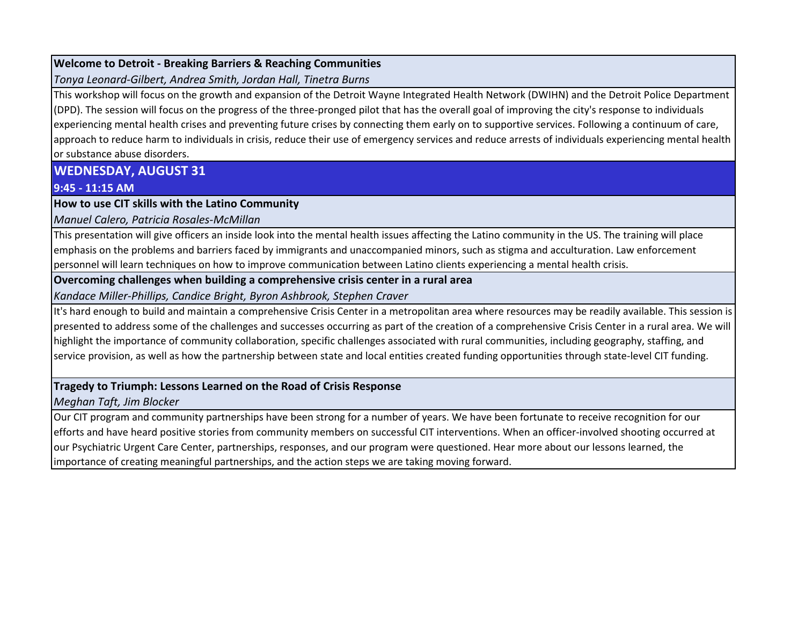## **Welcome to Detroit - Breaking Barriers & Reaching Communities**

*Tonya Leonard-Gilbert, Andrea Smith, Jordan Hall, Tinetra Burns*

This workshop will focus on the growth and expansion of the Detroit Wayne Integrated Health Network (DWIHN) and the Detroit Police Department (DPD). The session will focus on the progress of the three-pronged pilot that has the overall goal of improving the city's response to individuals experiencing mental health crises and preventing future crises by connecting them early on to supportive services. Following a continuum of care, approach to reduce harm to individuals in crisis, reduce their use of emergency services and reduce arrests of individuals experiencing mental health or substance abuse disorders.

**WEDNESDAY, AUGUST 31**

**9:45 - 11:15 AM**

**How to use CIT skills with the Latino Community**

*Manuel Calero, Patricia Rosales-McMillan*

This presentation will give officers an inside look into the mental health issues affecting the Latino community in the US. The training will place emphasis on the problems and barriers faced by immigrants and unaccompanied minors, such as stigma and acculturation. Law enforcement personnel will learn techniques on how to improve communication between Latino clients experiencing a mental health crisis.

**Overcoming challenges when building a comprehensive crisis center in a rural area**

*Kandace Miller-Phillips, Candice Bright, Byron Ashbrook, Stephen Craver*

It's hard enough to build and maintain a comprehensive Crisis Center in a metropolitan area where resources may be readily available. This session is presented to address some of the challenges and successes occurring as part of the creation of a comprehensive Crisis Center in a rural area. We will highlight the importance of community collaboration, specific challenges associated with rural communities, including geography, staffing, and service provision, as well as how the partnership between state and local entities created funding opportunities through state-level CIT funding.

# **Tragedy to Triumph: Lessons Learned on the Road of Crisis Response**

*Meghan Taft, Jim Blocker*

Our CIT program and community partnerships have been strong for a number of years. We have been fortunate to receive recognition for our efforts and have heard positive stories from community members on successful CIT interventions. When an officer-involved shooting occurred at our Psychiatric Urgent Care Center, partnerships, responses, and our program were questioned. Hear more about our lessons learned, the importance of creating meaningful partnerships, and the action steps we are taking moving forward.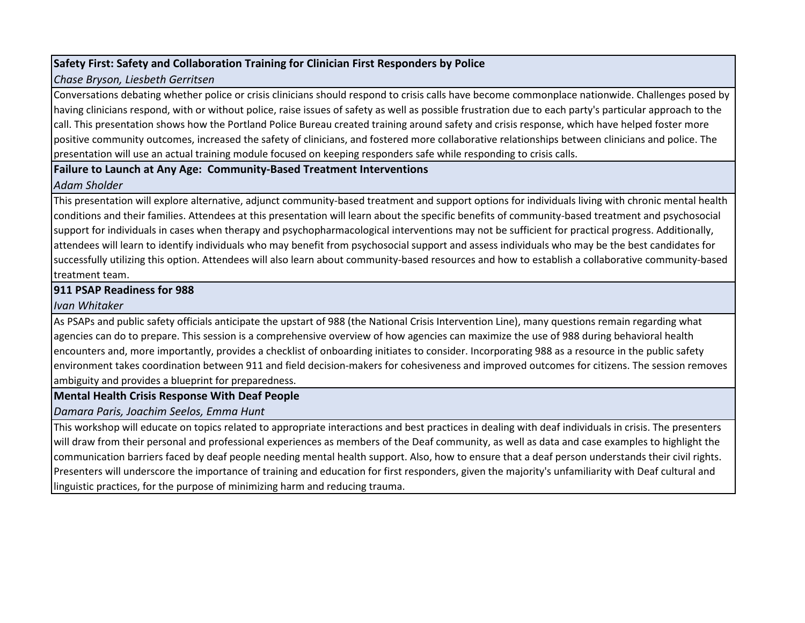# **Safety First: Safety and Collaboration Training for Clinician First Responders by Police**

# *Chase Bryson, Liesbeth Gerritsen*

Conversations debating whether police or crisis clinicians should respond to crisis calls have become commonplace nationwide. Challenges posed by having clinicians respond, with or without police, raise issues of safety as well as possible frustration due to each party's particular approach to the call. This presentation shows how the Portland Police Bureau created training around safety and crisis response, which have helped foster more positive community outcomes, increased the safety of clinicians, and fostered more collaborative relationships between clinicians and police. The presentation will use an actual training module focused on keeping responders safe while responding to crisis calls.

# **Failure to Launch at Any Age: Community-Based Treatment Interventions**

# *Adam Sholder*

This presentation will explore alternative, adjunct community-based treatment and support options for individuals living with chronic mental health conditions and their families. Attendees at this presentation will learn about the specific benefits of community-based treatment and psychosocial support for individuals in cases when therapy and psychopharmacological interventions may not be sufficient for practical progress. Additionally, attendees will learn to identify individuals who may benefit from psychosocial support and assess individuals who may be the best candidates for successfully utilizing this option. Attendees will also learn about community-based resources and how to establish a collaborative community-based treatment team.

# **911 PSAP Readiness for 988**

# *Ivan Whitaker*

As PSAPs and public safety officials anticipate the upstart of 988 (the National Crisis Intervention Line), many questions remain regarding what agencies can do to prepare. This session is a comprehensive overview of how agencies can maximize the use of 988 during behavioral health encounters and, more importantly, provides a checklist of onboarding initiates to consider. Incorporating 988 as a resource in the public safety environment takes coordination between 911 and field decision-makers for cohesiveness and improved outcomes for citizens. The session removes ambiguity and provides a blueprint for preparedness.

# **Mental Health Crisis Response With Deaf People**

*Damara Paris, Joachim Seelos, Emma Hunt*

This workshop will educate on topics related to appropriate interactions and best practices in dealing with deaf individuals in crisis. The presenters will draw from their personal and professional experiences as members of the Deaf community, as well as data and case examples to highlight the communication barriers faced by deaf people needing mental health support. Also, how to ensure that a deaf person understands their civil rights. Presenters will underscore the importance of training and education for first responders, given the majority's unfamiliarity with Deaf cultural and linguistic practices, for the purpose of minimizing harm and reducing trauma.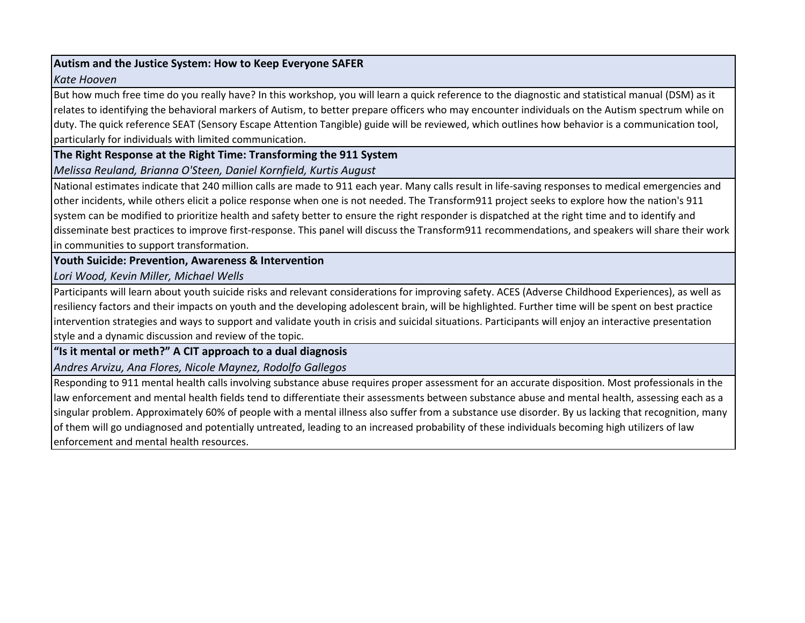## **Autism and the Justice System: How to Keep Everyone SAFER**

#### *Kate Hooven*

But how much free time do you really have? In this workshop, you will learn a quick reference to the diagnostic and statistical manual (DSM) as it relates to identifying the behavioral markers of Autism, to better prepare officers who may encounter individuals on the Autism spectrum while on duty. The quick reference SEAT (Sensory Escape Attention Tangible) guide will be reviewed, which outlines how behavior is a communication tool, particularly for individuals with limited communication.

**The Right Response at the Right Time: Transforming the 911 System**

*Melissa Reuland, Brianna O'Steen, Daniel Kornfield, Kurtis August*

National estimates indicate that 240 million calls are made to 911 each year. Many calls result in life-saving responses to medical emergencies and other incidents, while others elicit a police response when one is not needed. The Transform911 project seeks to explore how the nation's 911 system can be modified to prioritize health and safety better to ensure the right responder is dispatched at the right time and to identify and disseminate best practices to improve first-response. This panel will discuss the Transform911 recommendations, and speakers will share their work in communities to support transformation.

**Youth Suicide: Prevention, Awareness & Intervention**

*Lori Wood, Kevin Miller, Michael Wells*

Participants will learn about youth suicide risks and relevant considerations for improving safety. ACES (Adverse Childhood Experiences), as well as resiliency factors and their impacts on youth and the developing adolescent brain, will be highlighted. Further time will be spent on best practice intervention strategies and ways to support and validate youth in crisis and suicidal situations. Participants will enjoy an interactive presentation style and a dynamic discussion and review of the topic.

**"Is it mental or meth?" A CIT approach to a dual diagnosis**

*Andres Arvizu, Ana Flores, Nicole Maynez, Rodolfo Gallegos*

Responding to 911 mental health calls involving substance abuse requires proper assessment for an accurate disposition. Most professionals in the law enforcement and mental health fields tend to differentiate their assessments between substance abuse and mental health, assessing each as a singular problem. Approximately 60% of people with a mental illness also suffer from a substance use disorder. By us lacking that recognition, many of them will go undiagnosed and potentially untreated, leading to an increased probability of these individuals becoming high utilizers of law enforcement and mental health resources.